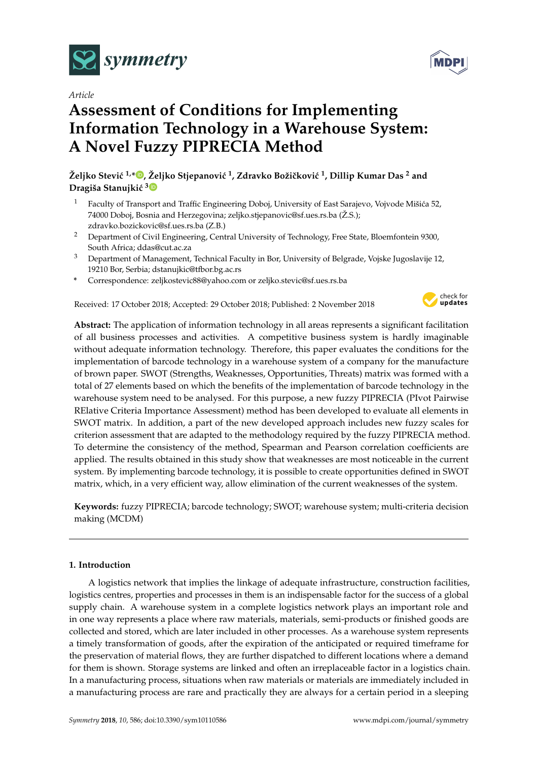

*Article*

# **Assessment of Conditions for Implementing Information Technology in a Warehouse System: A Novel Fuzzy PIPRECIA Method**

# $\check{\mathsf{Z}}$ eljko Stević <sup>1,</sup>[\\*](https://orcid.org/0000-0003-4452-5768) $\mathsf{D}$ , Željko Stjepanović <sup>1</sup>, Zdravko Božičković <sup>1</sup>, Dillip Kumar Das <sup>2</sup> and **Dragiša Stanujkić**<sup>[3](https://orcid.org/0000-0002-6846-3074)0</sup>

- Faculty of Transport and Traffic Engineering Doboj, University of East Sarajevo, Vojvode Mišića 52, 74000 Doboj, Bosnia and Herzegovina; zeljko.stjepanovic@sf.ues.rs.ba (Ž.S.); zdravko.bozickovic@sf.ues.rs.ba (Z.B.)
- <sup>2</sup> Department of Civil Engineering, Central University of Technology, Free State, Bloemfontein 9300, South Africa; ddas@cut.ac.za
- <sup>3</sup> Department of Management, Technical Faculty in Bor, University of Belgrade, Vojske Jugoslavije 12, 19210 Bor, Serbia; dstanujkic@tfbor.bg.ac.rs
- **\*** Correspondence: zeljkostevic88@yahoo.com or zeljko.stevic@sf.ues.rs.ba

Received: 17 October 2018; Accepted: 29 October 2018; Published: 2 November 2018



**Abstract:** The application of information technology in all areas represents a significant facilitation of all business processes and activities. A competitive business system is hardly imaginable without adequate information technology. Therefore, this paper evaluates the conditions for the implementation of barcode technology in a warehouse system of a company for the manufacture of brown paper. SWOT (Strengths, Weaknesses, Opportunities, Threats) matrix was formed with a total of 27 elements based on which the benefits of the implementation of barcode technology in the warehouse system need to be analysed. For this purpose, a new fuzzy PIPRECIA (PIvot Pairwise RElative Criteria Importance Assessment) method has been developed to evaluate all elements in SWOT matrix. In addition, a part of the new developed approach includes new fuzzy scales for criterion assessment that are adapted to the methodology required by the fuzzy PIPRECIA method. To determine the consistency of the method, Spearman and Pearson correlation coefficients are applied. The results obtained in this study show that weaknesses are most noticeable in the current system. By implementing barcode technology, it is possible to create opportunities defined in SWOT matrix, which, in a very efficient way, allow elimination of the current weaknesses of the system.

**Keywords:** fuzzy PIPRECIA; barcode technology; SWOT; warehouse system; multi-criteria decision making (MCDM)

# **1. Introduction**

A logistics network that implies the linkage of adequate infrastructure, construction facilities, logistics centres, properties and processes in them is an indispensable factor for the success of a global supply chain. A warehouse system in a complete logistics network plays an important role and in one way represents a place where raw materials, materials, semi-products or finished goods are collected and stored, which are later included in other processes. As a warehouse system represents a timely transformation of goods, after the expiration of the anticipated or required timeframe for the preservation of material flows, they are further dispatched to different locations where a demand for them is shown. Storage systems are linked and often an irreplaceable factor in a logistics chain. In a manufacturing process, situations when raw materials or materials are immediately included in a manufacturing process are rare and practically they are always for a certain period in a sleeping

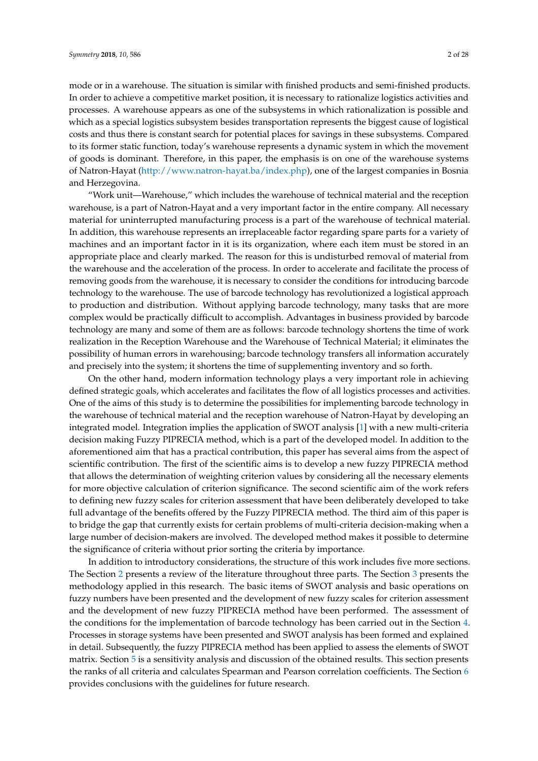mode or in a warehouse. The situation is similar with finished products and semi-finished products. In order to achieve a competitive market position, it is necessary to rationalize logistics activities and processes. A warehouse appears as one of the subsystems in which rationalization is possible and which as a special logistics subsystem besides transportation represents the biggest cause of logistical costs and thus there is constant search for potential places for savings in these subsystems. Compared to its former static function, today's warehouse represents a dynamic system in which the movement of goods is dominant. Therefore, in this paper, the emphasis is on one of the warehouse systems of Natron-Hayat [\(http://www.natron-hayat.ba/index.php\)](http://www.natron-hayat.ba/index.php), one of the largest companies in Bosnia and Herzegovina.

"Work unit—Warehouse," which includes the warehouse of technical material and the reception warehouse, is a part of Natron-Hayat and a very important factor in the entire company. All necessary material for uninterrupted manufacturing process is a part of the warehouse of technical material. In addition, this warehouse represents an irreplaceable factor regarding spare parts for a variety of machines and an important factor in it is its organization, where each item must be stored in an appropriate place and clearly marked. The reason for this is undisturbed removal of material from the warehouse and the acceleration of the process. In order to accelerate and facilitate the process of removing goods from the warehouse, it is necessary to consider the conditions for introducing barcode technology to the warehouse. The use of barcode technology has revolutionized a logistical approach to production and distribution. Without applying barcode technology, many tasks that are more complex would be practically difficult to accomplish. Advantages in business provided by barcode technology are many and some of them are as follows: barcode technology shortens the time of work realization in the Reception Warehouse and the Warehouse of Technical Material; it eliminates the possibility of human errors in warehousing; barcode technology transfers all information accurately and precisely into the system; it shortens the time of supplementing inventory and so forth.

On the other hand, modern information technology plays a very important role in achieving defined strategic goals, which accelerates and facilitates the flow of all logistics processes and activities. One of the aims of this study is to determine the possibilities for implementing barcode technology in the warehouse of technical material and the reception warehouse of Natron-Hayat by developing an integrated model. Integration implies the application of SWOT analysis [\[1\]](#page-25-0) with a new multi-criteria decision making Fuzzy PIPRECIA method, which is a part of the developed model. In addition to the aforementioned aim that has a practical contribution, this paper has several aims from the aspect of scientific contribution. The first of the scientific aims is to develop a new fuzzy PIPRECIA method that allows the determination of weighting criterion values by considering all the necessary elements for more objective calculation of criterion significance. The second scientific aim of the work refers to defining new fuzzy scales for criterion assessment that have been deliberately developed to take full advantage of the benefits offered by the Fuzzy PIPRECIA method. The third aim of this paper is to bridge the gap that currently exists for certain problems of multi-criteria decision-making when a large number of decision-makers are involved. The developed method makes it possible to determine the significance of criteria without prior sorting the criteria by importance.

In addition to introductory considerations, the structure of this work includes five more sections. The Section [2](#page-2-0) presents a review of the literature throughout three parts. The Section [3](#page-3-0) presents the methodology applied in this research. The basic items of SWOT analysis and basic operations on fuzzy numbers have been presented and the development of new fuzzy scales for criterion assessment and the development of new fuzzy PIPRECIA method have been performed. The assessment of the conditions for the implementation of barcode technology has been carried out in the Section [4.](#page-8-0) Processes in storage systems have been presented and SWOT analysis has been formed and explained in detail. Subsequently, the fuzzy PIPRECIA method has been applied to assess the elements of SWOT matrix. Section [5](#page-21-0) is a sensitivity analysis and discussion of the obtained results. This section presents the ranks of all criteria and calculates Spearman and Pearson correlation coefficients. The Section [6](#page-24-0) provides conclusions with the guidelines for future research.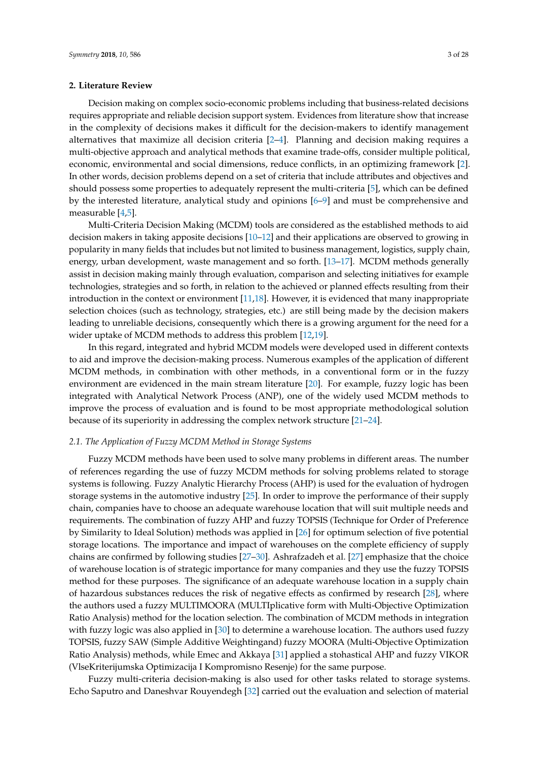#### <span id="page-2-0"></span>**2. Literature Review**

Decision making on complex socio-economic problems including that business-related decisions requires appropriate and reliable decision support system. Evidences from literature show that increase in the complexity of decisions makes it difficult for the decision-makers to identify management alternatives that maximize all decision criteria [\[2–](#page-25-1)[4\]](#page-25-2). Planning and decision making requires a multi-objective approach and analytical methods that examine trade-offs, consider multiple political, economic, environmental and social dimensions, reduce conflicts, in an optimizing framework [\[2\]](#page-25-1). In other words, decision problems depend on a set of criteria that include attributes and objectives and should possess some properties to adequately represent the multi-criteria [\[5\]](#page-25-3), which can be defined by the interested literature, analytical study and opinions [\[6](#page-25-4)[–9\]](#page-25-5) and must be comprehensive and measurable [\[4,](#page-25-2)[5\]](#page-25-3).

Multi-Criteria Decision Making (MCDM) tools are considered as the established methods to aid decision makers in taking apposite decisions [\[10–](#page-25-6)[12\]](#page-25-7) and their applications are observed to growing in popularity in many fields that includes but not limited to business management, logistics, supply chain, energy, urban development, waste management and so forth. [\[13–](#page-25-8)[17\]](#page-25-9). MCDM methods generally assist in decision making mainly through evaluation, comparison and selecting initiatives for example technologies, strategies and so forth, in relation to the achieved or planned effects resulting from their introduction in the context or environment [\[11](#page-25-10)[,18\]](#page-25-11). However, it is evidenced that many inappropriate selection choices (such as technology, strategies, etc.) are still being made by the decision makers leading to unreliable decisions, consequently which there is a growing argument for the need for a wider uptake of MCDM methods to address this problem [\[12,](#page-25-7)[19\]](#page-25-12).

In this regard, integrated and hybrid MCDM models were developed used in different contexts to aid and improve the decision-making process. Numerous examples of the application of different MCDM methods, in combination with other methods, in a conventional form or in the fuzzy environment are evidenced in the main stream literature [\[20\]](#page-25-13). For example, fuzzy logic has been integrated with Analytical Network Process (ANP), one of the widely used MCDM methods to improve the process of evaluation and is found to be most appropriate methodological solution because of its superiority in addressing the complex network structure [\[21](#page-25-14)[–24\]](#page-26-0).

#### *2.1. The Application of Fuzzy MCDM Method in Storage Systems*

Fuzzy MCDM methods have been used to solve many problems in different areas. The number of references regarding the use of fuzzy MCDM methods for solving problems related to storage systems is following. Fuzzy Analytic Hierarchy Process (AHP) is used for the evaluation of hydrogen storage systems in the automotive industry [\[25\]](#page-26-1). In order to improve the performance of their supply chain, companies have to choose an adequate warehouse location that will suit multiple needs and requirements. The combination of fuzzy AHP and fuzzy TOPSIS (Technique for Order of Preference by Similarity to Ideal Solution) methods was applied in [\[26\]](#page-26-2) for optimum selection of five potential storage locations. The importance and impact of warehouses on the complete efficiency of supply chains are confirmed by following studies [\[27](#page-26-3)[–30\]](#page-26-4). Ashrafzadeh et al. [\[27\]](#page-26-3) emphasize that the choice of warehouse location is of strategic importance for many companies and they use the fuzzy TOPSIS method for these purposes. The significance of an adequate warehouse location in a supply chain of hazardous substances reduces the risk of negative effects as confirmed by research [\[28\]](#page-26-5), where the authors used a fuzzy MULTIMOORA (MULTIplicative form with Multi-Objective Optimization Ratio Analysis) method for the location selection. The combination of MCDM methods in integration with fuzzy logic was also applied in [\[30\]](#page-26-4) to determine a warehouse location. The authors used fuzzy TOPSIS, fuzzy SAW (Simple Additive Weightingand) fuzzy MOORA (Multi-Objective Optimization Ratio Analysis) methods, while Emec and Akkaya [\[31\]](#page-26-6) applied a stohastical AHP and fuzzy VIKOR (VlseKriterijumska Optimizacija I Kompromisno Resenje) for the same purpose.

Fuzzy multi-criteria decision-making is also used for other tasks related to storage systems. Echo Saputro and Daneshvar Rouyendegh [\[32\]](#page-26-7) carried out the evaluation and selection of material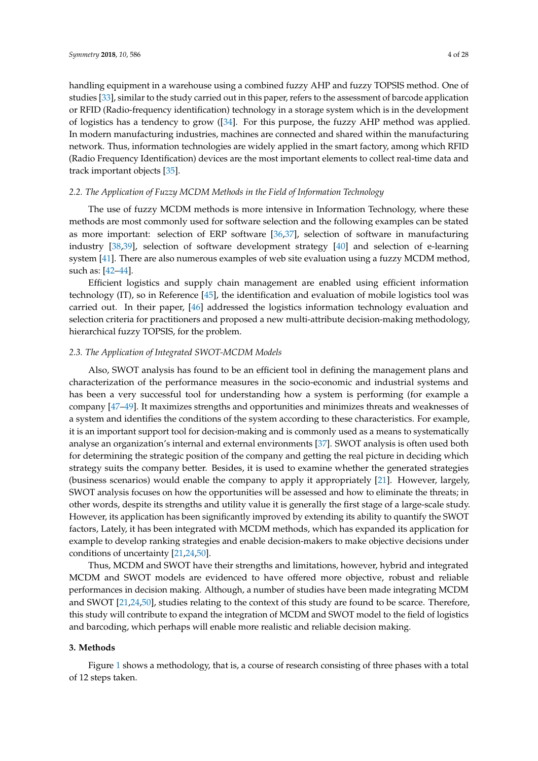handling equipment in a warehouse using a combined fuzzy AHP and fuzzy TOPSIS method. One of studies [\[33\]](#page-26-8), similar to the study carried out in this paper, refers to the assessment of barcode application or RFID (Radio-frequency identification) technology in a storage system which is in the development of logistics has a tendency to grow ([\[34\]](#page-26-9). For this purpose, the fuzzy AHP method was applied. In modern manufacturing industries, machines are connected and shared within the manufacturing network. Thus, information technologies are widely applied in the smart factory, among which RFID (Radio Frequency Identification) devices are the most important elements to collect real-time data and track important objects [\[35\]](#page-26-10).

#### *2.2. The Application of Fuzzy MCDM Methods in the Field of Information Technology*

The use of fuzzy MCDM methods is more intensive in Information Technology, where these methods are most commonly used for software selection and the following examples can be stated as more important: selection of ERP software [\[36](#page-26-11)[,37\]](#page-26-12), selection of software in manufacturing industry [\[38](#page-26-13)[,39\]](#page-26-14), selection of software development strategy [\[40\]](#page-26-15) and selection of e-learning system [\[41\]](#page-26-16). There are also numerous examples of web site evaluation using a fuzzy MCDM method, such as: [\[42–](#page-26-17)[44\]](#page-26-18).

Efficient logistics and supply chain management are enabled using efficient information technology (IT), so in Reference [\[45\]](#page-26-19), the identification and evaluation of mobile logistics tool was carried out. In their paper, [\[46\]](#page-26-20) addressed the logistics information technology evaluation and selection criteria for practitioners and proposed a new multi-attribute decision-making methodology, hierarchical fuzzy TOPSIS, for the problem.

#### *2.3. The Application of Integrated SWOT-MCDM Models*

Also, SWOT analysis has found to be an efficient tool in defining the management plans and characterization of the performance measures in the socio-economic and industrial systems and has been a very successful tool for understanding how a system is performing (for example a company [\[47–](#page-26-21)[49\]](#page-27-0). It maximizes strengths and opportunities and minimizes threats and weaknesses of a system and identifies the conditions of the system according to these characteristics. For example, it is an important support tool for decision-making and is commonly used as a means to systematically analyse an organization's internal and external environments [\[37\]](#page-26-12). SWOT analysis is often used both for determining the strategic position of the company and getting the real picture in deciding which strategy suits the company better. Besides, it is used to examine whether the generated strategies (business scenarios) would enable the company to apply it appropriately [\[21\]](#page-25-14). However, largely, SWOT analysis focuses on how the opportunities will be assessed and how to eliminate the threats; in other words, despite its strengths and utility value it is generally the first stage of a large-scale study. However, its application has been significantly improved by extending its ability to quantify the SWOT factors, Lately, it has been integrated with MCDM methods, which has expanded its application for example to develop ranking strategies and enable decision-makers to make objective decisions under conditions of uncertainty [\[21](#page-25-14)[,24](#page-26-0)[,50\]](#page-27-1).

Thus, MCDM and SWOT have their strengths and limitations, however, hybrid and integrated MCDM and SWOT models are evidenced to have offered more objective, robust and reliable performances in decision making. Although, a number of studies have been made integrating MCDM and SWOT [\[21,](#page-25-14)[24,](#page-26-0)[50\]](#page-27-1), studies relating to the context of this study are found to be scarce. Therefore, this study will contribute to expand the integration of MCDM and SWOT model to the field of logistics and barcoding, which perhaps will enable more realistic and reliable decision making.

#### <span id="page-3-0"></span>**3. Methods**

Figure [1](#page-4-0) shows a methodology, that is, a course of research consisting of three phases with a total of 12 steps taken.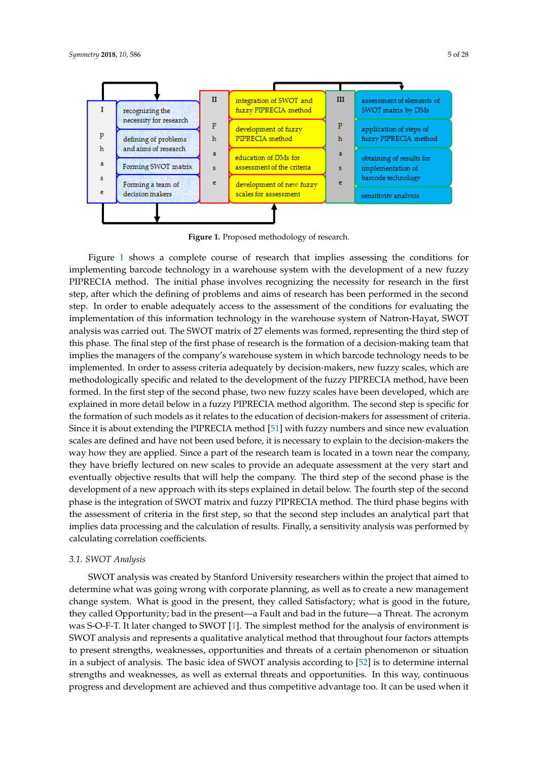<span id="page-4-0"></span>

**Figure 1.** Proposed methodology of research. **Figure 1.** Proposed methodology of research.

 $\frac{1}{2}$  shows a complete course of research that implies assessing the conditions for implementing barcode technology in a warehouse system with the development of a new fuzzy<br>PIPPECA method. The initial above involves accomining the accessive for accessive in the first  $\Gamma$ PIPRECIA method. The initial phase involves recognizing the necessity for research in the first step,  $\frac{1}{2}$ step, after which the defining of problems and aims of research has been performed in the second step. In carbon the defining of problems and aims of research has been performed in the second step. In order to enable adequately access to the assessment of the conditions for evaluating the included internal conditions of this information to have a conditions of the information of the conditions of the conditions implementation of this information technology in the warehouse system of Natron-Hayat, SWOT analysis was carried out. The SWOT matrix of 27 elements was formed, representing the third step of analysis was carried out. The SWOT matrix of 27 elements was formed, representing the third step of this phase. The final step of the first phase of research is the formation of a decision-making team that this phase. The final step of the first phase of recaren is the formation of a decision-making team that implies the managers of the company's warehouse system in which barcode technology needs to be in the managers of the company's warehouse system in which barcode technology needs to be implemented. In order to assess criteria adequately by decision-makers, new fuzzy scales, which are in all the distribution of the distribution of the distribution of the distribution of the distribution of the distributio methodologically specific and related to the development of the fuzzy PIPRECIA method, have been<br>Contract the full specific and related to the development of the fuzzy PIPRECIA method, have been have been formed. In the first step of the second phase, two new fuzzy scales have been developed, explained in more detail below in a fuzzy PIPRECIA method algorithm. The second step is specific for which are explained in more detail below in a fuzzy PIPRECIA method algorithm. The second step to specific for the formation of such models as it relates to the education of decision-makers for assessment of criteria.<br>City is the formation of the property of the formation of decision-makers for assessment of criteria. Since it is about extending the PIPRECIA method  $[51]$  with fuzzy numbers and since new evaluation scales are defined and have not been used before, it is necessary to explain to the decision-makers the scale in the decision-makers the way how they are applied. Since a part of the research team is located in a town near the company, they have briefly lectured on new scales to provide an adequate assessment at the very start and the very start and eventually objective results that will help the company. The third step of the second phase is the  $\frac{1}{2}$ severophich of a new approach with its steps explained in detail below. The fourth step of the second phase is the integration of SWOT matrix and fuzzy PIPRECIA method. The third phase begins with  $\cdot$ the assessment of criteria in the first step, so that the second step includes an analytical part that the second step includes an analytical part that implies data processing and the calculation of results. Finally, a sensitivity analysis was performed by  $\frac{1}{2}$ calculating correlation coefficients. Figure [1](#page-4-0) shows a complete course of research that implies assessing the conditions for PIPRECIA method. The initial phase involves recognizing the necessity for research in the first implementation of this information technology in the warehouse system of Natron-Hayat, SWOT formed. In the first step of the second phase, two new fuzzy scales have been developed, which are development of a new approach with its steps explained in detail below. The fourth step of the second

#### *3.1. SWOT Analysis 3.1. SWOT Analysis*

determine what was going wrong with corporate planning, as well as to create a new management change system. What is good in the present, they called Satisfactory; what is good in the future, they called Opportunity; bad in the present—a Fault and bad in the future—a Threat. The acronym was S-O-F-T. It later changed to SWOT [\[1\]](#page-25-0). The simplest method for the analysis of environment is SWOT analysis and represents a qualitative analytical method that throughout four factors attempts to present strengths, weaknesses, opportunities and threats of a certain phenomenon or situation in a subject of analysis. The basic idea of SWOT analysis according to  $\begin{bmatrix} 1 \end{bmatrix}$  is to determine internal SWOT analysis was created by Stanford University researchers within the project that aimed to strengths and weaknesses, as well as external threats and opportunities. In this way, continuous progress and development are achieved and thus competitive advantage too. It can be used when it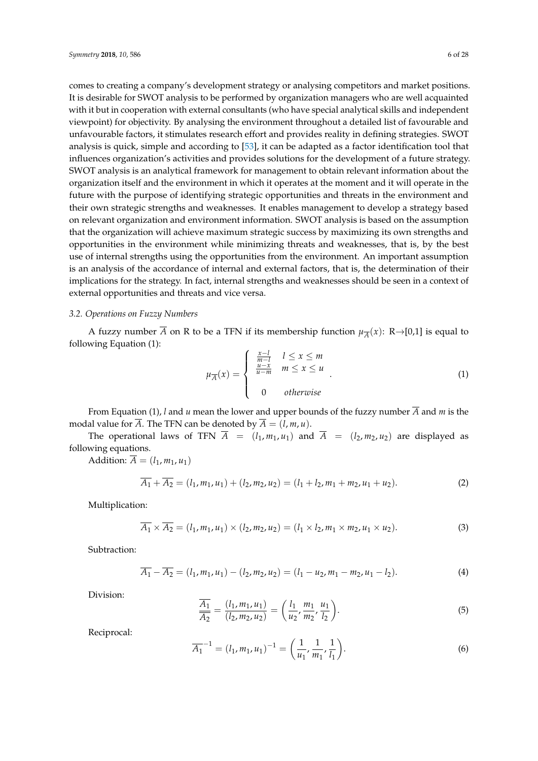comes to creating a company's development strategy or analysing competitors and market positions. It is desirable for SWOT analysis to be performed by organization managers who are well acquainted with it but in cooperation with external consultants (who have special analytical skills and independent viewpoint) for objectivity. By analysing the environment throughout a detailed list of favourable and unfavourable factors, it stimulates research effort and provides reality in defining strategies. SWOT analysis is quick, simple and according to [\[53\]](#page-27-4), it can be adapted as a factor identification tool that influences organization's activities and provides solutions for the development of a future strategy. SWOT analysis is an analytical framework for management to obtain relevant information about the organization itself and the environment in which it operates at the moment and it will operate in the future with the purpose of identifying strategic opportunities and threats in the environment and their own strategic strengths and weaknesses. It enables management to develop a strategy based on relevant organization and environment information. SWOT analysis is based on the assumption that the organization will achieve maximum strategic success by maximizing its own strengths and opportunities in the environment while minimizing threats and weaknesses, that is, by the best use of internal strengths using the opportunities from the environment. An important assumption is an analysis of the accordance of internal and external factors, that is, the determination of their implications for the strategy. In fact, internal strengths and weaknesses should be seen in a context of external opportunities and threats and vice versa.

#### *3.2. Operations on Fuzzy Numbers*

A fuzzy number  $\overline{A}$  on R to be a TFN if its membership function  $\mu_{\overline{A}}(x)$ : R $\rightarrow$ [0,1] is equal to following Equation (1):

$$
\mu_{\overline{A}}(x) = \begin{cases} \frac{x-1}{m-1} & l \leq x \leq m \\ \frac{u-x}{u-m} & m \leq x \leq u \\ 0 & \text{otherwise} \end{cases} \tag{1}
$$

From Equation (1), *l* and *u* mean the lower and upper bounds of the fuzzy number  $\overline{A}$  and *m* is the modal value for  $\overline{A}$ . The TFN can be denoted by  $\overline{A} = (l, m, u)$ .

The operational laws of TFN  $\overline{A} = (l_1, m_1, u_1)$  and  $\overline{A} = (l_2, m_2, u_2)$  are displayed as following equations.

Addition:  $\overline{A} = (l_1, m_1, u_1)$ 

$$
\overline{A_1} + \overline{A_2} = (l_1, m_1, u_1) + (l_2, m_2, u_2) = (l_1 + l_2, m_1 + m_2, u_1 + u_2).
$$
 (2)

Multiplication:

$$
\overline{A_1} \times \overline{A_2} = (l_1, m_1, u_1) \times (l_2, m_2, u_2) = (l_1 \times l_2, m_1 \times m_2, u_1 \times u_2).
$$
\n(3)

Subtraction:

$$
\overline{A_1} - \overline{A_2} = (l_1, m_1, u_1) - (l_2, m_2, u_2) = (l_1 - u_2, m_1 - m_2, u_1 - l_2).
$$
\n(4)

Division:

$$
\frac{\overline{A_1}}{\overline{A_2}} = \frac{(l_1, m_1, u_1)}{(l_2, m_2, u_2)} = \left(\frac{l_1}{u_2}, \frac{m_1}{m_2}, \frac{u_1}{l_2}\right).
$$
\n(5)

Reciprocal:

$$
\overline{A_1}^{-1} = (l_1, m_1, u_1)^{-1} = \left(\frac{1}{u_1}, \frac{1}{m_1}, \frac{1}{l_1}\right).
$$
\n(6)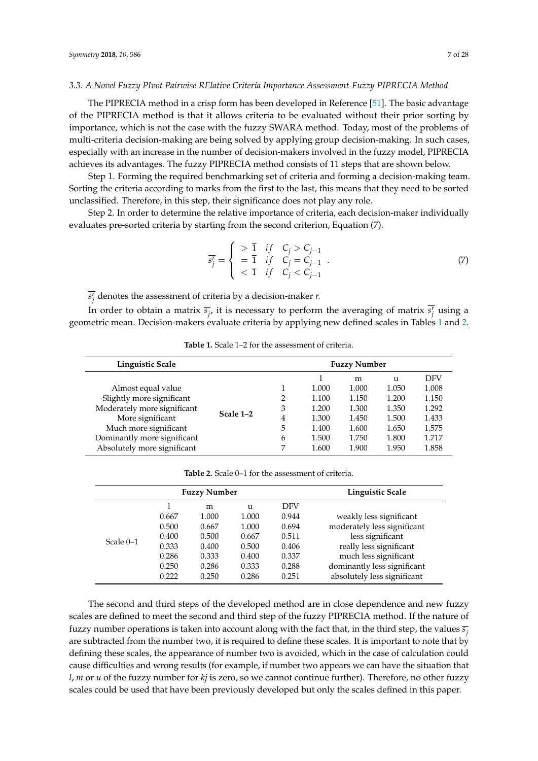#### *3.3. A Novel Fuzzy PIvot Pairwise RElative Criteria Importance Assessment-Fuzzy PIPRECIA Method*

The PIPRECIA method in a crisp form has been developed in Reference [\[51\]](#page-27-2). The basic advantage of the PIPRECIA method is that it allows criteria to be evaluated without their prior sorting by importance, which is not the case with the fuzzy SWARA method. Today, most of the problems of multi-criteria decision-making are being solved by applying group decision-making. In such cases, especially with an increase in the number of decision-makers involved in the fuzzy model, PIPRECIA achieves its advantages. The fuzzy PIPRECIA method consists of 11 steps that are shown below.

Step 1. Forming the required benchmarking set of criteria and forming a decision-making team. Sorting the criteria according to marks from the first to the last, this means that they need to be sorted unclassified. Therefore, in this step, their significance does not play any role.

Step 2. In order to determine the relative importance of criteria, each decision-maker individually evaluates pre-sorted criteria by starting from the second criterion, Equation (7).

$$
\overline{s_j^r} = \begin{cases}\n> \overline{1} & if \quad C_j > C_{j-1} \\
= \overline{1} & if \quad C_j = C_{j-1} \\
< \overline{1} & if \quad C_j < C_{j-1}\n\end{cases} . \tag{7}
$$

 $\overline{s_j^r}$  denotes the assessment of criteria by a decision-maker *r*.

In order to obtain a matrix  $\overline{s_j}$ , it is necessary to perform the averaging of matrix  $\overline{s_j^r}$  using a geometric mean. Decision-makers evaluate criteria by applying new defined scales in Tables [1](#page-6-0) and [2.](#page-6-1)

<span id="page-6-0"></span>

| Linguistic Scale            |           |   |       | <b>Fuzzy Number</b> |       |            |
|-----------------------------|-----------|---|-------|---------------------|-------|------------|
|                             |           |   |       | m                   | u     | <b>DFV</b> |
| Almost equal value          |           |   | 1.000 | 1.000               | 1.050 | 1.008      |
| Slightly more significant   |           | 2 | 1.100 | 1.150               | 1.200 | 1.150      |
| Moderately more significant |           | 3 | 1.200 | 1.300               | 1.350 | 1.292      |
| More significant            | Scale 1-2 | 4 | 1.300 | 1.450               | 1.500 | 1.433      |
| Much more significant       |           | 5 | 1.400 | 1.600               | 1.650 | 1.575      |
| Dominantly more significant |           | 6 | 1.500 | 1.750               | 1.800 | 1.717      |
| Absolutely more significant |           | 7 | 1.600 | 1.900               | 1.950 | 1.858      |

**Table 1.** Scale 1–2 for the assessment of criteria.

**Table 2.** Scale 0–1 for the assessment of criteria.

<span id="page-6-1"></span>

|           |       | <b>Fuzzy Number</b> |       |            | <b>Linguistic Scale</b>     |
|-----------|-------|---------------------|-------|------------|-----------------------------|
|           |       | m                   | u     | <b>DFV</b> |                             |
|           | 0.667 | 1.000               | 1.000 | 0.944      | weakly less significant     |
|           | 0.500 | 0.667               | 1.000 | 0.694      | moderately less significant |
|           | 0.400 | 0.500               | 0.667 | 0.511      | less significant            |
| Scale 0-1 | 0.333 | 0.400               | 0.500 | 0.406      | really less significant     |
|           | 0.286 | 0.333               | 0.400 | 0.337      | much less significant       |
|           | 0.250 | 0.286               | 0.333 | 0.288      | dominantly less significant |
|           | 0.222 | 0.250               | 0.286 | 0.251      | absolutely less significant |

The second and third steps of the developed method are in close dependence and new fuzzy scales are defined to meet the second and third step of the fuzzy PIPRECIA method. If the nature of fuzzy number operations is taken into account along with the fact that, in the third step, the values  $\overline{s_j}$ are subtracted from the number two, it is required to define these scales. It is important to note that by defining these scales, the appearance of number two is avoided, which in the case of calculation could cause difficulties and wrong results (for example, if number two appears we can have the situation that *l*, *m* or *u* of the fuzzy number for *kj* is zero, so we cannot continue further). Therefore, no other fuzzy scales could be used that have been previously developed but only the scales defined in this paper.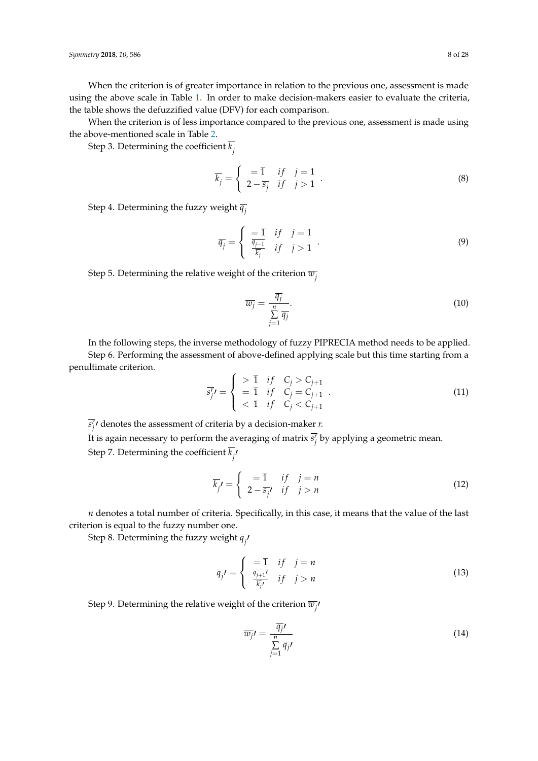*Symmetry* **2018**, 10, 586 8 of 28

When the criterion is of greater importance in relation to the previous one, assessment is made using the above scale in Table [1.](#page-6-0) In order to make decision-makers easier to evaluate the criteria, the table shows the defuzzified value (DFV) for each comparison.

When the criterion is of less importance compared to the previous one, assessment is made using the above-mentioned scale in Table [2.](#page-6-1)

Step 3. Determining the coefficient *k j*

$$
\overline{k_j} = \begin{cases}\n= \overline{1} & if \quad j = 1 \\
2 - \overline{s_j} & if \quad j > 1\n\end{cases}.
$$
\n(8)

Step 4. Determining the fuzzy weight *q j*

$$
\overline{q_j} = \begin{cases} \frac{1}{\overline{q_{j-1}}} & \text{if } j = 1\\ \frac{\overline{q_{j-1}}}{\overline{k_j}} & \text{if } j > 1 \end{cases} \tag{9}
$$

Step 5. Determining the relative weight of the criterion  $\overline{w_i}$ 

$$
\overline{w_j} = \frac{\overline{q_j}}{\sum\limits_{j=1}^{n} \overline{q_j}}.
$$
\n(10)

In the following steps, the inverse methodology of fuzzy PIPRECIA method needs to be applied.

Step 6. Performing the assessment of above-defined applying scale but this time starting from a penultimate criterion.

$$
\overline{s}_{j}^{r} \cdot f = \begin{cases}\n> \overline{1} & if & C_{j} > C_{j+1} \\
= \overline{1} & if & C_{j} = C_{j+1} \\
< \overline{1} & if & C_{j} < C_{j+1}\n\end{cases} . \tag{11}
$$

 $\overline{s_j^r}$  denotes the assessment of criteria by a decision-maker *r*.

It is again necessary to perform the averaging of matrix  $\overline{s'_{\hat{j}}}$  by applying a geometric mean. Step 7. Determining the coefficient  $k_j$ 

$$
\overline{k_j'} = \begin{cases}\n= \overline{1} & if \quad j = n \\
2 - \overline{s_j'} & if \quad j > n\n\end{cases}
$$
\n(12)

*n* denotes a total number of criteria. Specifically, in this case, it means that the value of the last criterion is equal to the fuzzy number one.

Step 8. Determining the fuzzy weight  $\overline{q_j}$ 

$$
\overline{q_j'} = \begin{cases} \frac{-\overline{1}}{\overline{q_{j+1'}}} & \text{if } j = n \\ \frac{\overline{q_{j+1'}}}{\overline{k_j'}} & \text{if } j > n \end{cases} \tag{13}
$$

Step 9. Determining the relative weight of the criterion  $\overline{w_j}$ 

$$
\overline{w_j'} = \frac{\overline{q_j}'}{\sum\limits_{j=1}^{n} \overline{q_j'}}\tag{14}
$$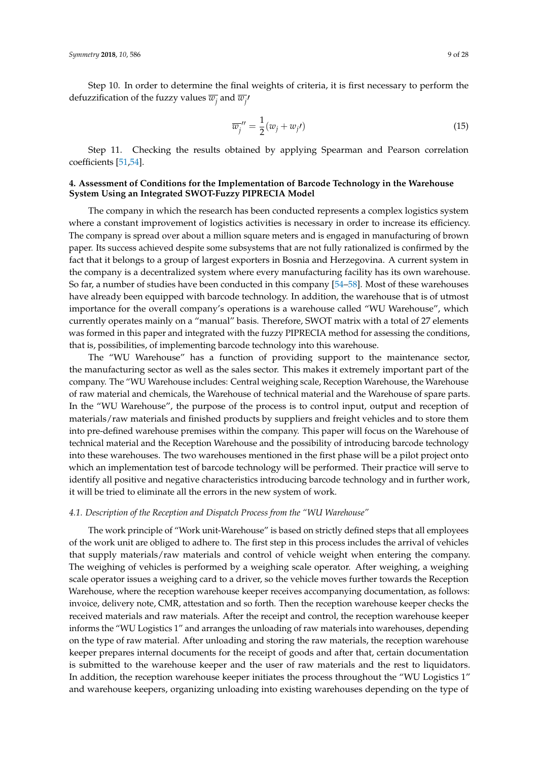Step 10. In order to determine the final weights of criteria, it is first necessary to perform the defuzzification of the fuzzy values  $\overline{w}_j$  and  $\overline{w}_j$ 

$$
\overline{w_j}^{\prime\prime} = \frac{1}{2}(w_j + w_j \prime) \tag{15}
$$

Step 11. Checking the results obtained by applying Spearman and Pearson correlation coefficients [\[51](#page-27-2)[,54\]](#page-27-5).

## <span id="page-8-0"></span>**4. Assessment of Conditions for the Implementation of Barcode Technology in the Warehouse System Using an Integrated SWOT-Fuzzy PIPRECIA Model**

The company in which the research has been conducted represents a complex logistics system where a constant improvement of logistics activities is necessary in order to increase its efficiency. The company is spread over about a million square meters and is engaged in manufacturing of brown paper. Its success achieved despite some subsystems that are not fully rationalized is confirmed by the fact that it belongs to a group of largest exporters in Bosnia and Herzegovina. A current system in the company is a decentralized system where every manufacturing facility has its own warehouse. So far, a number of studies have been conducted in this company [\[54](#page-27-5)[–58\]](#page-27-6). Most of these warehouses have already been equipped with barcode technology. In addition, the warehouse that is of utmost importance for the overall company's operations is a warehouse called "WU Warehouse", which currently operates mainly on a "manual" basis. Therefore, SWOT matrix with a total of 27 elements was formed in this paper and integrated with the fuzzy PIPRECIA method for assessing the conditions, that is, possibilities, of implementing barcode technology into this warehouse.

The "WU Warehouse" has a function of providing support to the maintenance sector, the manufacturing sector as well as the sales sector. This makes it extremely important part of the company. The "WU Warehouse includes: Central weighing scale, Reception Warehouse, the Warehouse of raw material and chemicals, the Warehouse of technical material and the Warehouse of spare parts. In the "WU Warehouse", the purpose of the process is to control input, output and reception of materials/raw materials and finished products by suppliers and freight vehicles and to store them into pre-defined warehouse premises within the company. This paper will focus on the Warehouse of technical material and the Reception Warehouse and the possibility of introducing barcode technology into these warehouses. The two warehouses mentioned in the first phase will be a pilot project onto which an implementation test of barcode technology will be performed. Their practice will serve to identify all positive and negative characteristics introducing barcode technology and in further work, it will be tried to eliminate all the errors in the new system of work.

#### *4.1. Description of the Reception and Dispatch Process from the "WU Warehouse"*

The work principle of "Work unit-Warehouse" is based on strictly defined steps that all employees of the work unit are obliged to adhere to. The first step in this process includes the arrival of vehicles that supply materials/raw materials and control of vehicle weight when entering the company. The weighing of vehicles is performed by a weighing scale operator. After weighing, a weighing scale operator issues a weighing card to a driver, so the vehicle moves further towards the Reception Warehouse, where the reception warehouse keeper receives accompanying documentation, as follows: invoice, delivery note, CMR, attestation and so forth. Then the reception warehouse keeper checks the received materials and raw materials. After the receipt and control, the reception warehouse keeper informs the "WU Logistics 1" and arranges the unloading of raw materials into warehouses, depending on the type of raw material. After unloading and storing the raw materials, the reception warehouse keeper prepares internal documents for the receipt of goods and after that, certain documentation is submitted to the warehouse keeper and the user of raw materials and the rest to liquidators. In addition, the reception warehouse keeper initiates the process throughout the "WU Logistics 1" and warehouse keepers, organizing unloading into existing warehouses depending on the type of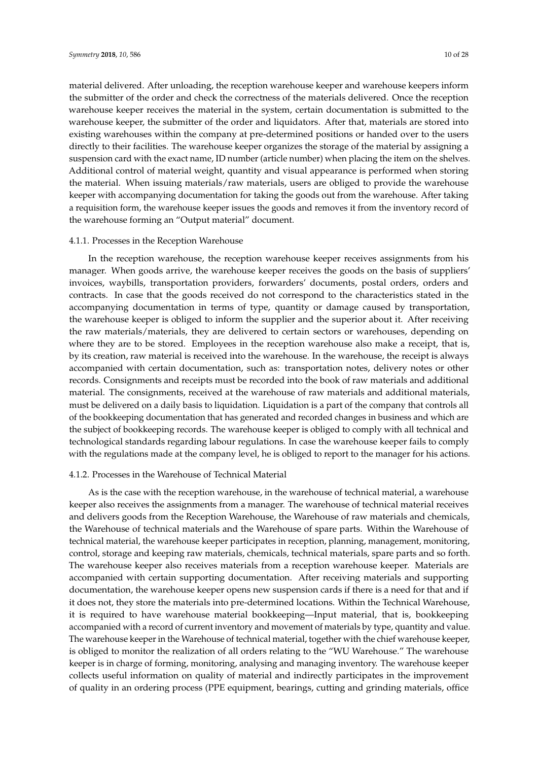material delivered. After unloading, the reception warehouse keeper and warehouse keepers inform the submitter of the order and check the correctness of the materials delivered. Once the reception warehouse keeper receives the material in the system, certain documentation is submitted to the warehouse keeper, the submitter of the order and liquidators. After that, materials are stored into existing warehouses within the company at pre-determined positions or handed over to the users directly to their facilities. The warehouse keeper organizes the storage of the material by assigning a suspension card with the exact name, ID number (article number) when placing the item on the shelves. Additional control of material weight, quantity and visual appearance is performed when storing the material. When issuing materials/raw materials, users are obliged to provide the warehouse keeper with accompanying documentation for taking the goods out from the warehouse. After taking a requisition form, the warehouse keeper issues the goods and removes it from the inventory record of the warehouse forming an "Output material" document.

#### 4.1.1. Processes in the Reception Warehouse

In the reception warehouse, the reception warehouse keeper receives assignments from his manager. When goods arrive, the warehouse keeper receives the goods on the basis of suppliers' invoices, waybills, transportation providers, forwarders' documents, postal orders, orders and contracts. In case that the goods received do not correspond to the characteristics stated in the accompanying documentation in terms of type, quantity or damage caused by transportation, the warehouse keeper is obliged to inform the supplier and the superior about it. After receiving the raw materials/materials, they are delivered to certain sectors or warehouses, depending on where they are to be stored. Employees in the reception warehouse also make a receipt, that is, by its creation, raw material is received into the warehouse. In the warehouse, the receipt is always accompanied with certain documentation, such as: transportation notes, delivery notes or other records. Consignments and receipts must be recorded into the book of raw materials and additional material. The consignments, received at the warehouse of raw materials and additional materials, must be delivered on a daily basis to liquidation. Liquidation is a part of the company that controls all of the bookkeeping documentation that has generated and recorded changes in business and which are the subject of bookkeeping records. The warehouse keeper is obliged to comply with all technical and technological standards regarding labour regulations. In case the warehouse keeper fails to comply with the regulations made at the company level, he is obliged to report to the manager for his actions.

#### 4.1.2. Processes in the Warehouse of Technical Material

As is the case with the reception warehouse, in the warehouse of technical material, a warehouse keeper also receives the assignments from a manager. The warehouse of technical material receives and delivers goods from the Reception Warehouse, the Warehouse of raw materials and chemicals, the Warehouse of technical materials and the Warehouse of spare parts. Within the Warehouse of technical material, the warehouse keeper participates in reception, planning, management, monitoring, control, storage and keeping raw materials, chemicals, technical materials, spare parts and so forth. The warehouse keeper also receives materials from a reception warehouse keeper. Materials are accompanied with certain supporting documentation. After receiving materials and supporting documentation, the warehouse keeper opens new suspension cards if there is a need for that and if it does not, they store the materials into pre-determined locations. Within the Technical Warehouse, it is required to have warehouse material bookkeeping—Input material, that is, bookkeeping accompanied with a record of current inventory and movement of materials by type, quantity and value. The warehouse keeper in the Warehouse of technical material, together with the chief warehouse keeper, is obliged to monitor the realization of all orders relating to the "WU Warehouse." The warehouse keeper is in charge of forming, monitoring, analysing and managing inventory. The warehouse keeper collects useful information on quality of material and indirectly participates in the improvement of quality in an ordering process (PPE equipment, bearings, cutting and grinding materials, office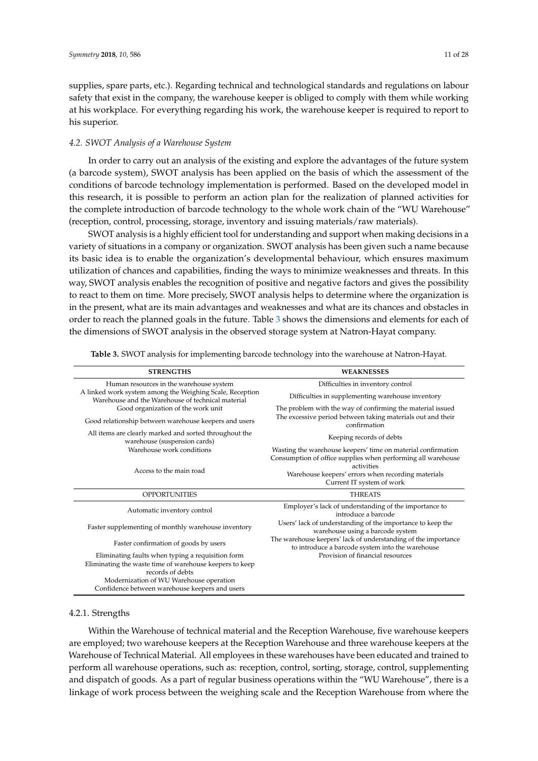supplies, spare parts, etc.). Regarding technical and technological standards and regulations on labour safety that exist in the company, the warehouse keeper is obliged to comply with them while working at his workplace. For everything regarding his work, the warehouse keeper is required to report to his superior.

#### *4.2. SWOT Analysis of a Warehouse System*

In order to carry out an analysis of the existing and explore the advantages of the future system (a barcode system), SWOT analysis has been applied on the basis of which the assessment of the conditions of barcode technology implementation is performed. Based on the developed model in this research, it is possible to perform an action plan for the realization of planned activities for the complete introduction of barcode technology to the whole work chain of the "WU Warehouse" (reception, control, processing, storage, inventory and issuing materials/raw materials).

SWOT analysis is a highly efficient tool for understanding and support when making decisions in a variety of situations in a company or organization. SWOT analysis has been given such a name because its basic idea is to enable the organization's developmental behaviour, which ensures maximum utilization of chances and capabilities, finding the ways to minimize weaknesses and threats. In this way, SWOT analysis enables the recognition of positive and negative factors and gives the possibility to react to them on time. More precisely, SWOT analysis helps to determine where the organization is in the present, what are its main advantages and weaknesses and what are its chances and obstacles in order to reach the planned goals in the future. Table [3](#page-10-0) shows the dimensions and elements for each of the dimensions of SWOT analysis in the observed storage system at Natron-Hayat company.

<span id="page-10-0"></span>

| <b>STRENGTHS</b>                                                                                                                                                                                                              | <b>WEAKNESSES</b>                                                                                                                                             |
|-------------------------------------------------------------------------------------------------------------------------------------------------------------------------------------------------------------------------------|---------------------------------------------------------------------------------------------------------------------------------------------------------------|
| Human resources in the warehouse system                                                                                                                                                                                       | Difficulties in inventory control                                                                                                                             |
| A linked work system among the Weighing Scale, Reception<br>Warehouse and the Warehouse of technical material                                                                                                                 | Difficulties in supplementing warehouse inventory                                                                                                             |
| Good organization of the work unit                                                                                                                                                                                            | The problem with the way of confirming the material issued                                                                                                    |
| Good relationship between warehouse keepers and users                                                                                                                                                                         | The excessive period between taking materials out and their<br>confirmation                                                                                   |
| All items are clearly marked and sorted throughout the<br>warehouse (suspension cards)                                                                                                                                        | Keeping records of debts                                                                                                                                      |
| Warehouse work conditions                                                                                                                                                                                                     | Wasting the warehouse keepers' time on material confirmation                                                                                                  |
| Access to the main road                                                                                                                                                                                                       | Consumption of office supplies when performing all warehouse<br>activities<br>Warehouse keepers' errors when recording materials<br>Current IT system of work |
| <b>OPPORTUNITIES</b>                                                                                                                                                                                                          | <b>THREATS</b>                                                                                                                                                |
| Automatic inventory control                                                                                                                                                                                                   | Employer's lack of understanding of the importance to<br>introduce a barcode                                                                                  |
| Faster supplementing of monthly warehouse inventory                                                                                                                                                                           | Users' lack of understanding of the importance to keep the<br>warehouse using a barcode system                                                                |
| Faster confirmation of goods by users                                                                                                                                                                                         | The warehouse keepers' lack of understanding of the importance<br>to introduce a barcode system into the warehouse                                            |
| Eliminating faults when typing a requisition form<br>Eliminating the waste time of warehouse keepers to keep<br>records of debts<br>Modernization of WU Warehouse operation<br>Confidence between warehouse keepers and users | Provision of financial resources                                                                                                                              |

**Table 3.** SWOT analysis for implementing barcode technology into the warehouse at Natron-Hayat.

#### 4.2.1. Strengths

Within the Warehouse of technical material and the Reception Warehouse, five warehouse keepers are employed; two warehouse keepers at the Reception Warehouse and three warehouse keepers at the Warehouse of Technical Material. All employees in these warehouses have been educated and trained to perform all warehouse operations, such as: reception, control, sorting, storage, control, supplementing and dispatch of goods. As a part of regular business operations within the "WU Warehouse", there is a linkage of work process between the weighing scale and the Reception Warehouse from where the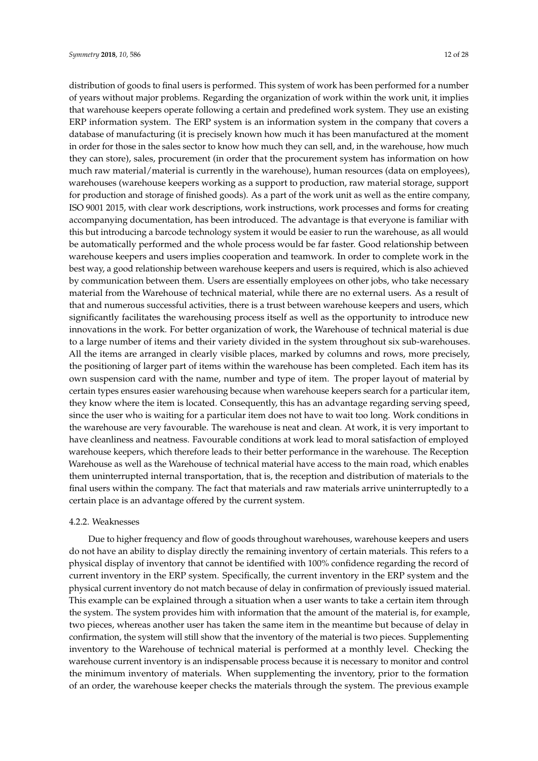distribution of goods to final users is performed. This system of work has been performed for a number of years without major problems. Regarding the organization of work within the work unit, it implies that warehouse keepers operate following a certain and predefined work system. They use an existing ERP information system. The ERP system is an information system in the company that covers a database of manufacturing (it is precisely known how much it has been manufactured at the moment in order for those in the sales sector to know how much they can sell, and, in the warehouse, how much they can store), sales, procurement (in order that the procurement system has information on how much raw material/material is currently in the warehouse), human resources (data on employees), warehouses (warehouse keepers working as a support to production, raw material storage, support for production and storage of finished goods). As a part of the work unit as well as the entire company, ISO 9001 2015, with clear work descriptions, work instructions, work processes and forms for creating accompanying documentation, has been introduced. The advantage is that everyone is familiar with this but introducing a barcode technology system it would be easier to run the warehouse, as all would be automatically performed and the whole process would be far faster. Good relationship between warehouse keepers and users implies cooperation and teamwork. In order to complete work in the best way, a good relationship between warehouse keepers and users is required, which is also achieved by communication between them. Users are essentially employees on other jobs, who take necessary material from the Warehouse of technical material, while there are no external users. As a result of that and numerous successful activities, there is a trust between warehouse keepers and users, which significantly facilitates the warehousing process itself as well as the opportunity to introduce new innovations in the work. For better organization of work, the Warehouse of technical material is due to a large number of items and their variety divided in the system throughout six sub-warehouses. All the items are arranged in clearly visible places, marked by columns and rows, more precisely, the positioning of larger part of items within the warehouse has been completed. Each item has its own suspension card with the name, number and type of item. The proper layout of material by certain types ensures easier warehousing because when warehouse keepers search for a particular item, they know where the item is located. Consequently, this has an advantage regarding serving speed, since the user who is waiting for a particular item does not have to wait too long. Work conditions in the warehouse are very favourable. The warehouse is neat and clean. At work, it is very important to have cleanliness and neatness. Favourable conditions at work lead to moral satisfaction of employed warehouse keepers, which therefore leads to their better performance in the warehouse. The Reception Warehouse as well as the Warehouse of technical material have access to the main road, which enables them uninterrupted internal transportation, that is, the reception and distribution of materials to the final users within the company. The fact that materials and raw materials arrive uninterruptedly to a certain place is an advantage offered by the current system.

#### 4.2.2. Weaknesses

Due to higher frequency and flow of goods throughout warehouses, warehouse keepers and users do not have an ability to display directly the remaining inventory of certain materials. This refers to a physical display of inventory that cannot be identified with 100% confidence regarding the record of current inventory in the ERP system. Specifically, the current inventory in the ERP system and the physical current inventory do not match because of delay in confirmation of previously issued material. This example can be explained through a situation when a user wants to take a certain item through the system. The system provides him with information that the amount of the material is, for example, two pieces, whereas another user has taken the same item in the meantime but because of delay in confirmation, the system will still show that the inventory of the material is two pieces. Supplementing inventory to the Warehouse of technical material is performed at a monthly level. Checking the warehouse current inventory is an indispensable process because it is necessary to monitor and control the minimum inventory of materials. When supplementing the inventory, prior to the formation of an order, the warehouse keeper checks the materials through the system. The previous example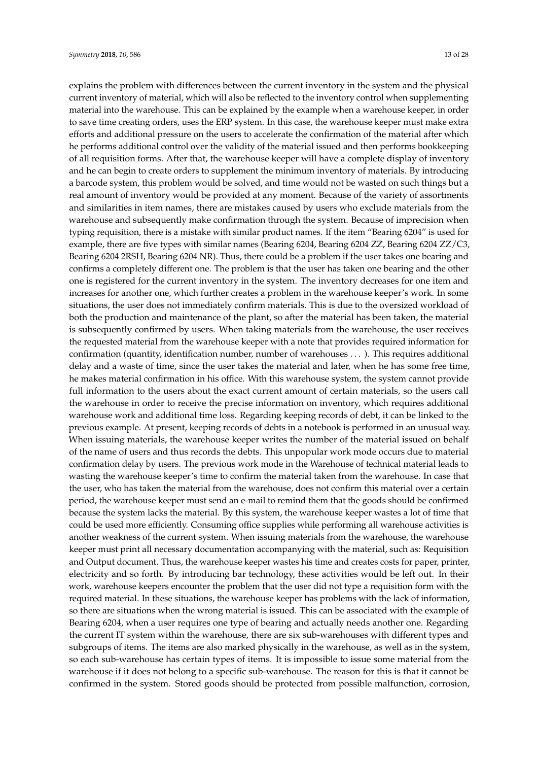explains the problem with differences between the current inventory in the system and the physical current inventory of material, which will also be reflected to the inventory control when supplementing material into the warehouse. This can be explained by the example when a warehouse keeper, in order to save time creating orders, uses the ERP system. In this case, the warehouse keeper must make extra efforts and additional pressure on the users to accelerate the confirmation of the material after which he performs additional control over the validity of the material issued and then performs bookkeeping of all requisition forms. After that, the warehouse keeper will have a complete display of inventory and he can begin to create orders to supplement the minimum inventory of materials. By introducing a barcode system, this problem would be solved, and time would not be wasted on such things but a real amount of inventory would be provided at any moment. Because of the variety of assortments and similarities in item names, there are mistakes caused by users who exclude materials from the warehouse and subsequently make confirmation through the system. Because of imprecision when typing requisition, there is a mistake with similar product names. If the item "Bearing 6204" is used for example, there are five types with similar names (Bearing 6204, Bearing 6204 ZZ, Bearing 6204 ZZ/C3, Bearing 6204 2RSH, Bearing 6204 NR). Thus, there could be a problem if the user takes one bearing and confirms a completely different one. The problem is that the user has taken one bearing and the other one is registered for the current inventory in the system. The inventory decreases for one item and increases for another one, which further creates a problem in the warehouse keeper's work. In some situations, the user does not immediately confirm materials. This is due to the oversized workload of both the production and maintenance of the plant, so after the material has been taken, the material is subsequently confirmed by users. When taking materials from the warehouse, the user receives the requested material from the warehouse keeper with a note that provides required information for confirmation (quantity, identification number, number of warehouses . . . ). This requires additional delay and a waste of time, since the user takes the material and later, when he has some free time, he makes material confirmation in his office. With this warehouse system, the system cannot provide full information to the users about the exact current amount of certain materials, so the users call the warehouse in order to receive the precise information on inventory, which requires additional warehouse work and additional time loss. Regarding keeping records of debt, it can be linked to the previous example. At present, keeping records of debts in a notebook is performed in an unusual way. When issuing materials, the warehouse keeper writes the number of the material issued on behalf of the name of users and thus records the debts. This unpopular work mode occurs due to material confirmation delay by users. The previous work mode in the Warehouse of technical material leads to wasting the warehouse keeper's time to confirm the material taken from the warehouse. In case that the user, who has taken the material from the warehouse, does not confirm this material over a certain period, the warehouse keeper must send an e-mail to remind them that the goods should be confirmed because the system lacks the material. By this system, the warehouse keeper wastes a lot of time that could be used more efficiently. Consuming office supplies while performing all warehouse activities is another weakness of the current system. When issuing materials from the warehouse, the warehouse keeper must print all necessary documentation accompanying with the material, such as: Requisition and Output document. Thus, the warehouse keeper wastes his time and creates costs for paper, printer, electricity and so forth. By introducing bar technology, these activities would be left out. In their work, warehouse keepers encounter the problem that the user did not type a requisition form with the required material. In these situations, the warehouse keeper has problems with the lack of information, so there are situations when the wrong material is issued. This can be associated with the example of Bearing 6204, when a user requires one type of bearing and actually needs another one. Regarding the current IT system within the warehouse, there are six sub-warehouses with different types and subgroups of items. The items are also marked physically in the warehouse, as well as in the system, so each sub-warehouse has certain types of items. It is impossible to issue some material from the warehouse if it does not belong to a specific sub-warehouse. The reason for this is that it cannot be confirmed in the system. Stored goods should be protected from possible malfunction, corrosion,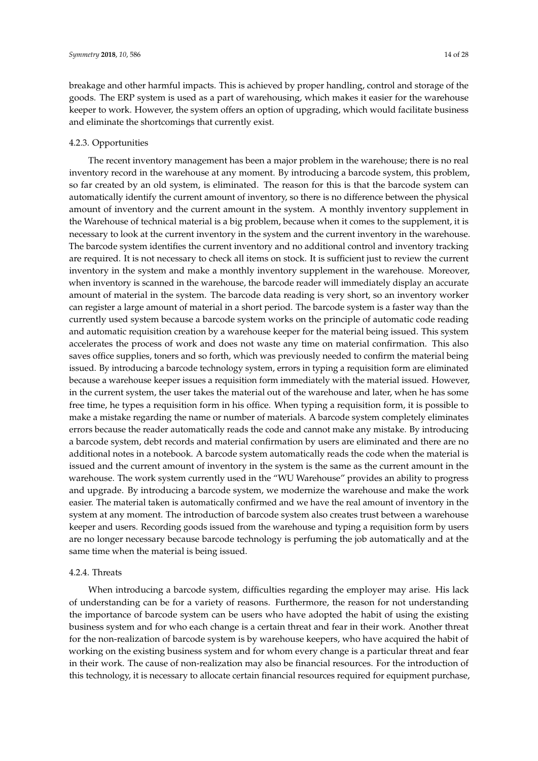breakage and other harmful impacts. This is achieved by proper handling, control and storage of the goods. The ERP system is used as a part of warehousing, which makes it easier for the warehouse keeper to work. However, the system offers an option of upgrading, which would facilitate business and eliminate the shortcomings that currently exist.

#### 4.2.3. Opportunities

The recent inventory management has been a major problem in the warehouse; there is no real inventory record in the warehouse at any moment. By introducing a barcode system, this problem, so far created by an old system, is eliminated. The reason for this is that the barcode system can automatically identify the current amount of inventory, so there is no difference between the physical amount of inventory and the current amount in the system. A monthly inventory supplement in the Warehouse of technical material is a big problem, because when it comes to the supplement, it is necessary to look at the current inventory in the system and the current inventory in the warehouse. The barcode system identifies the current inventory and no additional control and inventory tracking are required. It is not necessary to check all items on stock. It is sufficient just to review the current inventory in the system and make a monthly inventory supplement in the warehouse. Moreover, when inventory is scanned in the warehouse, the barcode reader will immediately display an accurate amount of material in the system. The barcode data reading is very short, so an inventory worker can register a large amount of material in a short period. The barcode system is a faster way than the currently used system because a barcode system works on the principle of automatic code reading and automatic requisition creation by a warehouse keeper for the material being issued. This system accelerates the process of work and does not waste any time on material confirmation. This also saves office supplies, toners and so forth, which was previously needed to confirm the material being issued. By introducing a barcode technology system, errors in typing a requisition form are eliminated because a warehouse keeper issues a requisition form immediately with the material issued. However, in the current system, the user takes the material out of the warehouse and later, when he has some free time, he types a requisition form in his office. When typing a requisition form, it is possible to make a mistake regarding the name or number of materials. A barcode system completely eliminates errors because the reader automatically reads the code and cannot make any mistake. By introducing a barcode system, debt records and material confirmation by users are eliminated and there are no additional notes in a notebook. A barcode system automatically reads the code when the material is issued and the current amount of inventory in the system is the same as the current amount in the warehouse. The work system currently used in the "WU Warehouse" provides an ability to progress and upgrade. By introducing a barcode system, we modernize the warehouse and make the work easier. The material taken is automatically confirmed and we have the real amount of inventory in the system at any moment. The introduction of barcode system also creates trust between a warehouse keeper and users. Recording goods issued from the warehouse and typing a requisition form by users are no longer necessary because barcode technology is perfuming the job automatically and at the same time when the material is being issued.

#### 4.2.4. Threats

When introducing a barcode system, difficulties regarding the employer may arise. His lack of understanding can be for a variety of reasons. Furthermore, the reason for not understanding the importance of barcode system can be users who have adopted the habit of using the existing business system and for who each change is a certain threat and fear in their work. Another threat for the non-realization of barcode system is by warehouse keepers, who have acquired the habit of working on the existing business system and for whom every change is a particular threat and fear in their work. The cause of non-realization may also be financial resources. For the introduction of this technology, it is necessary to allocate certain financial resources required for equipment purchase,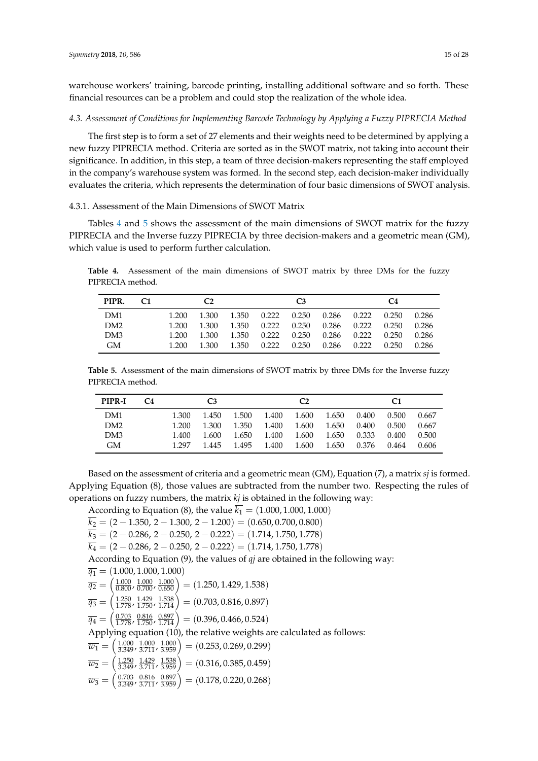warehouse workers' training, barcode printing, installing additional software and so forth. These financial resources can be a problem and could stop the realization of the whole idea.

#### *4.3. Assessment of Conditions for Implementing Barcode Technology by Applying a Fuzzy PIPRECIA Method*

The first step is to form a set of 27 elements and their weights need to be determined by applying a new fuzzy PIPRECIA method. Criteria are sorted as in the SWOT matrix, not taking into account their significance. In addition, in this step, a team of three decision-makers representing the staff employed in the company's warehouse system was formed. In the second step, each decision-maker individually evaluates the criteria, which represents the determination of four basic dimensions of SWOT analysis.

#### 4.3.1. Assessment of the Main Dimensions of SWOT Matrix

Tables [4](#page-14-0) and [5](#page-14-1) shows the assessment of the main dimensions of SWOT matrix for the fuzzy PIPRECIA and the Inverse fuzzy PIPRECIA by three decision-makers and a geometric mean (GM), which value is used to perform further calculation.

<span id="page-14-0"></span>**Table 4.** Assessment of the main dimensions of SWOT matrix by three DMs for the fuzzy PIPRECIA method.

| PIPR.           | C1 |       | C2    |       |       | C3    |       |       | C <sub>4</sub> |       |
|-----------------|----|-------|-------|-------|-------|-------|-------|-------|----------------|-------|
| DM1             |    | 1.200 | 1.300 | 1.350 | 0.222 | 0.250 | 0.286 | 0.222 | 0.250          | 0.286 |
| DM <sub>2</sub> |    | 1.200 | 1.300 | 1.350 | 0.222 | 0.250 | 0.286 | 0.222 | 0.250          | 0.286 |
| DM3             |    | 1.200 | 1.300 | 1.350 | 0.222 | 0.250 | 0.286 | 0.222 | 0.250          | 0.286 |
| GM.             |    | 1.200 | 1.300 | 1.350 | 0.222 | 0.250 | 0.286 | 0.222 | 0.250          | 0.286 |

<span id="page-14-1"></span>**Table 5.** Assessment of the main dimensions of SWOT matrix by three DMs for the Inverse fuzzy PIPRECIA method.

| PIPR-I          | C <sub>4</sub> |       | C3    |       |       | C2    |       |       | C <sub>1</sub> |       |
|-----------------|----------------|-------|-------|-------|-------|-------|-------|-------|----------------|-------|
| DM1             |                | 1.300 | 1.450 | 1.500 | 1.400 | 1.600 | 1.650 | 0.400 | 0.500          | 0.667 |
| DM <sub>2</sub> |                | 1.200 | 1.300 | 1.350 | 1.400 | 1.600 | 1.650 | 0.400 | 0.500          | 0.667 |
| DM3             |                | 1.400 | 1.600 | 1.650 | 1.400 | 1.600 | 1.650 | 0.333 | 0.400          | 0.500 |
| GМ              |                | 1.297 | 1.445 | 1.495 | 1.400 | 1.600 | 1.650 | 0.376 | 0.464          | 0.606 |

Based on the assessment of criteria and a geometric mean (GM), Equation (7), a matrix *sj* is formed. Applying Equation (8), those values are subtracted from the number two. Respecting the rules of operations on fuzzy numbers, the matrix *kj* is obtained in the following way:

```
According to Equation (8), the value \overline{k_1} = (1.000, 1.000, 1.000)
```

$$
\overline{k_2} = (2 - 1.350, 2 - 1.300, 2 - 1.200) = (0.650, 0.700, 0.800)
$$

 $\overline{k_3}$  = (2 – 0.286, 2 – 0.250, 2 – 0.222) = (1.714, 1.750, 1.778)

$$
\overline{k_4} = (2 - 0.286, 2 - 0.250, 2 - 0.222) = (1.714, 1.750, 1.778)
$$

According to Equation (9), the values of *qj* are obtained in the following way:

 $\overline{q_1}$  = (1.000, 1.000, 1.000)

$$
\overline{q_2} = \left(\frac{1.000}{0.800}, \frac{1.000}{0.700}, \frac{1.000}{0.650}\right) = (1.250, 1.429, 1.538)
$$

$$
\overline{q_3} = \left(\frac{1.250}{1.778}, \frac{1.429}{1.750}, \frac{1.538}{1.714}\right) = (0.703, 0.816, 0.897)
$$

$$
\overline{q_4} = \left(\frac{0.703}{1.778}, \frac{0.816}{1.750}, \frac{0.897}{1.714}\right) = (0.396, 0.466, 0.524)
$$

Applying equation (10), the relative weights are calculated as follows:

$$
\overline{w_1} = \left(\frac{1.000}{3.349}, \frac{1.000}{3.711}, \frac{1.000}{3.959}\right) = (0.253, 0.269, 0.299)
$$

$$
\overline{w_2} = \left(\frac{1.250}{3.349}, \frac{1.429}{3.711}, \frac{1.538}{3.959}\right) = (0.316, 0.385, 0.459)
$$

$$
\overline{w_3} = \left(\frac{0.703}{3.349}, \frac{0.816}{3.711}, \frac{0.897}{3.959}\right) = (0.178, 0.220, 0.268)
$$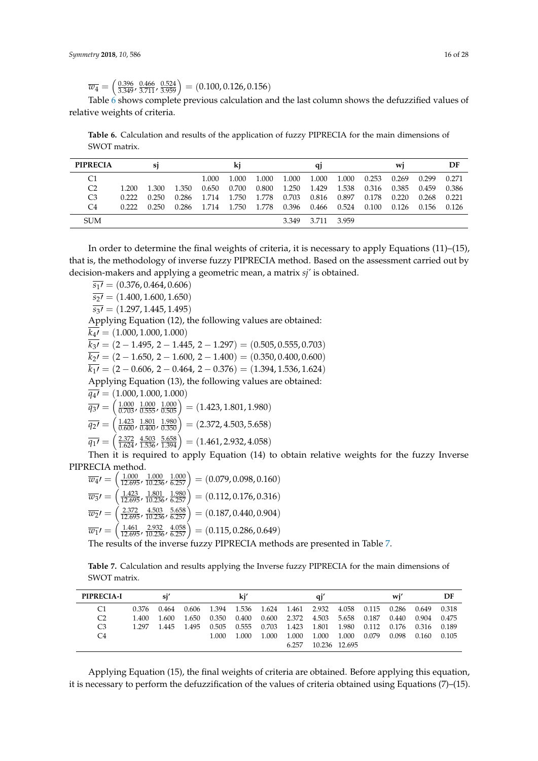$\overline{w_4} = \left(\frac{0.396}{3.349}, \frac{0.466}{3.711}, \frac{0.524}{3.959}\right) = (0.100, 0.126, 0.156)$ 

Table  $\hat{6}$  $\hat{6}$  $\hat{6}$  shows complete previous calculation and the last column shows the defuzzified values of relative weights of criteria.

<span id="page-15-0"></span>**Table 6.** Calculation and results of the application of fuzzy PIPRECIA for the main dimensions of SWOT matrix.

| <b>PIPRECIA</b> |       | S1    |       |       | ki    |       |       | 91    |             |       | W1    |       | DF    |
|-----------------|-------|-------|-------|-------|-------|-------|-------|-------|-------------|-------|-------|-------|-------|
| C <sub>1</sub>  |       |       |       | 1.000 | 1.000 | 1.000 | 1.000 | 1.000 | 1.000       | 0.253 | 0.269 | 0.299 | 0.271 |
| C <sub>2</sub>  | 1.200 | 1.300 | 1.350 | 0.650 | 0.700 | 0.800 | 1.250 | 1.429 | 1.538       | 0.316 | 0.385 | 0.459 | 0.386 |
| C <sub>3</sub>  | 0.222 | 0.250 | 0.286 | 1.714 | 1.750 | 1.778 | 0.703 | 0.816 | 0.897       | 0.178 | 0.220 | 0.268 | 0.221 |
| C4              | 0.222 | 0.250 | 0.286 | 1.714 | 1.750 | 1.778 | 0.396 | 0.466 | 0.524       | 0.100 | 0.126 | 0.156 | 0.126 |
| <b>SUM</b>      |       |       |       |       |       |       | 3.349 |       | 3.711 3.959 |       |       |       |       |

In order to determine the final weights of criteria, it is necessary to apply Equations (11)–(15), that is, the methodology of inverse fuzzy PIPRECIA method. Based on the assessment carried out by decision-makers and applying a geometric mean, a matrix *sj'* is obtained.

 $\overline{s_1}$ <sup>*z*</sup> = (0.376, 0.464, 0.606)  $\overline{s_2}$ <sup> $\overline{s_2}$ </sup> = (1.400, 1.600, 1.650)  $\overline{s_3}$ *i* = (1.297, 1.445, 1.495) Applying Equation (12), the following values are obtained:  $\overline{k_4}$ <sup> $\prime$ </sup> = (1.000, 1.000, 1.000)  $\overline{k_3}$ *i* = (2 − 1.495, 2 − 1.445, 2 − 1.297) = (0.505, 0.555, 0.703)  $\overline{k_2}$ <sup> $\overline{k_2}$ </sup> = (2 – 1.650, 2 – 1.600, 2 – 1.400) = (0.350, 0.400, 0.600)  $\overline{k_1}$ *i* = (2 – 0.606, 2 – 0.464, 2 – 0.376) = (1.394, 1.536, 1.624) Applying Equation (13), the following values are obtained:  $\overline{q_4}$ <sup> $\overline{q_4}$ </sup> = (1.000, 1.000, 1.000)  $\overline{q_3'} = \left(\frac{1.000}{0.703}, \frac{1.000}{0.555}, \frac{1.000}{0.505}\right) = (1.423, 1.801, 1.980)$  $\overline{q_2'} = \left(\frac{1.423}{0.600}, \frac{1.801}{0.400}, \frac{1.980}{0.350}\right) = (2.372, 4.503, 5.658)$  $\overline{q_1'} = \left(\frac{2.372}{1.624}, \frac{4.503}{1.536}, \frac{5.658}{1.394}\right) = (1.461, 2.932, 4.058)$ 

Then it is required to apply Equation  $(14)$  to obtain relative weights for the fuzzy Inverse PIPRECIA method.

$$
\overline{w_4\prime} = \left(\frac{1.000}{12.695}, \frac{1.000}{10.236}, \frac{1.000}{6.257}\right) = (0.079, 0.098, 0.160)
$$
\n
$$
\overline{w_3\prime} = \left(\frac{1.423}{12.695}, \frac{1.801}{10.236}, \frac{1.980}{6.257}\right) = (0.112, 0.176, 0.316)
$$
\n
$$
\overline{w_2\prime} = \left(\frac{2.372}{12.695}, \frac{4.503}{10.236}, \frac{5.658}{6.257}\right) = (0.187, 0.440, 0.904)
$$
\n
$$
\overline{w_1\prime} = \left(\frac{1.461}{12.695}, \frac{2.932}{10.236}, \frac{4.058}{6.257}\right) = (0.115, 0.286, 0.649)
$$
\nThe result is given by the system. **PDPECIA** is not a factor.

The results of the inverse fuzzy PIPRECIA methods are presented in Table [7.](#page-15-1)

<span id="page-15-1"></span>**Table 7.** Calculation and results applying the Inverse fuzzy PIPRECIA for the main dimensions of SWOT matrix.

| <b>PIPRECIA-I</b> |       | si    |       |       | ki'   |       |       | qi'   |               |       | wi'   |       | DF    |
|-------------------|-------|-------|-------|-------|-------|-------|-------|-------|---------------|-------|-------|-------|-------|
| C <sub>1</sub>    | 0.376 | 0.464 | 0.606 | 1.394 | 1.536 | 1.624 | 1.461 | 2.932 | 4.058         | 0.115 | 0.286 | 0.649 | 0.318 |
| C <sub>2</sub>    | 1.400 | .600  | 1.650 | 0.350 | 0.400 | 0.600 | 2.372 | 4.503 | 5.658         | 0.187 | 0.440 | 0.904 | 0.475 |
| C <sub>3</sub>    | 1 297 | 1.445 | 1.495 | 0.505 | 0.555 | 0.703 | 1.423 | 1.801 | 1.980         | 0.112 | 0.176 | 0.316 | 0.189 |
| C <sub>4</sub>    |       |       |       | 1.000 | 1.000 | 1.000 | 1.000 | 1.000 | 1.000         | 0.079 | 0.098 | 0.160 | 0.105 |
|                   |       |       |       |       |       |       | 6.257 |       | 10.236 12.695 |       |       |       |       |

Applying Equation (15), the final weights of criteria are obtained. Before applying this equation, it is necessary to perform the defuzzification of the values of criteria obtained using Equations (7)–(15).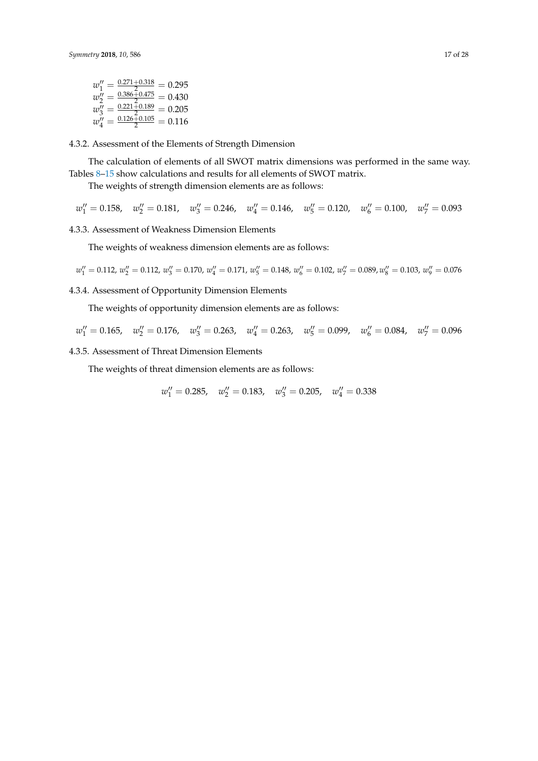$w_1'' = \frac{0.271 + 0.318}{2.285 \cdot 0.75} = 0.295$  $w_2'' = \frac{0.386 + 0.475}{2.234 \times 0.430} = 0.430$  $w_3'' = \frac{0.221 + 0.189}{2.325 \times 0.325} = 0.205$  $w_4'' = \frac{0.126 + 0.105}{2} = 0.116$ 

4.3.2. Assessment of the Elements of Strength Dimension

The calculation of elements of all SWOT matrix dimensions was performed in the same way. Tables [8](#page-17-0)[–15](#page-20-0) show calculations and results for all elements of SWOT matrix.

The weights of strength dimension elements are as follows:

 $w_1'' = 0.158$ ,  $w_2'' = 0.181$ ,  $w_3'' = 0.246$ ,  $w_4'' = 0.146$ ,  $w_5'' = 0.120$ ,  $w_6'' = 0.100$ ,  $w_7'' = 0.093$ 

4.3.3. Assessment of Weakness Dimension Elements

The weights of weakness dimension elements are as follows:

$$
w''_1 = 0.112,\, w''_2 = 0.112,\, w''_3 = 0.170,\, w''_4 = 0.171,\, w''_5 = 0.148,\, w''_6 = 0.102,\, w''_7 = 0.089, w''_8 = 0.103,\, w''_9 = 0.076
$$

# 4.3.4. Assessment of Opportunity Dimension Elements

The weights of opportunity dimension elements are as follows:

 $w_1'' = 0.165$ ,  $w_2'' = 0.176$ ,  $w_3'' = 0.263$ ,  $w_4'' = 0.263$ ,  $w_5'' = 0.099$ ,  $w_6'' = 0.084$ ,  $w_7'' = 0.096$ 

### 4.3.5. Assessment of Threat Dimension Elements

The weights of threat dimension elements are as follows:

$$
w_1'' = 0.285
$$
,  $w_2'' = 0.183$ ,  $w_3'' = 0.205$ ,  $w_4'' = 0.338$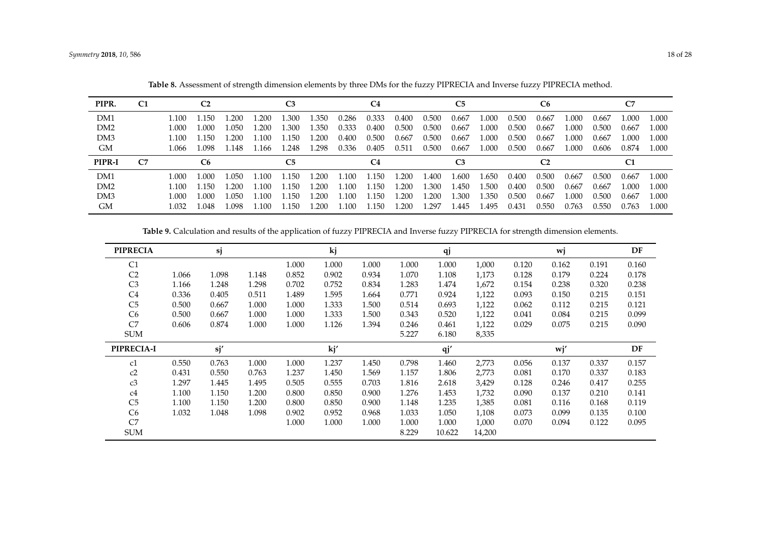| PIPR.  | C1 |       | C2   |       |      | C3    |       |       | C4    |       |       | C5    |       |       | C6             |       |       | C7             |       |
|--------|----|-------|------|-------|------|-------|-------|-------|-------|-------|-------|-------|-------|-------|----------------|-------|-------|----------------|-------|
| DM1    |    | .100  | 150  | .200  | .200 | .300  | l.350 | 0.286 | 0.333 | 0.400 | 0.500 | 0.667 | .000  | 0.500 | 0.667          | .000  | 0.667 | .000           | 1.000 |
| DM2    |    | .000  | .000 | 0.050 | .200 | .300  | l.350 | 0.333 | 0.400 | 0.500 | 0.500 | 0.667 | .000  | 0.500 | 0.667          | .000  | 0.500 | 0.667          | 1.000 |
| DM3    |    | .100  | .150 | .200  | .100 | l.150 | .200  | 0.400 | 0.500 | 0.667 | 0.500 | 0.667 | .000  | 0.500 | 0.667          | .000  | 0.667 | .000           | 1.000 |
| GМ     |    | .066  | .098 | 1.148 | .166 | 1.248 | .298  | 0.336 | 0.405 | 0.511 | 0.500 | 0.667 | .000  | 0.500 | 0.667          | .000  | 0.606 | 0.874          | 1.000 |
| PIPR-I | C7 |       | C6   |       |      | C5    |       |       | C4    |       |       | C3    |       |       | C <sub>2</sub> |       |       | C <sub>1</sub> |       |
| DM1    |    | .000  | .000 | .050  | .100 | .150  | .200  | 1.100 | 1.150 | .200  | l.400 | 1.600 | .650  | 0.400 | 0.500          | 0.667 | 0.500 | 0.667          | 1.000 |
| DM2    |    | .100  | .150 | .200  | .100 | l.150 | .200  | 1.100 | 1.150 | .200  | 1.300 | .450  | .500  | 0.400 | 0.500          | 0.667 | 0.667 | .000           | 000.1 |
| DM3    |    | .000  | .000 | 0.050 | .100 | l.150 | .200  | .100  | l.150 | .200  | 1.200 | .300  | .350  | 0.500 | 0.667          | .000  | 0.500 | 0.667          | 1.000 |
| GМ     |    | 1.032 | .048 | l.098 | .100 | l.150 | .200  | . 100 | 1.150 | .200  | .297  | . 445 | 1.495 | 0.431 | 0.550          | 0.763 | 0.550 | 0.763          | 1.000 |

**Table 8.** Assessment of strength dimension elements by three DMs for the fuzzy PIPRECIA and Inverse fuzzy PIPRECIA method.

**Table 9.** Calculation and results of the application of fuzzy PIPRECIA and Inverse fuzzy PIPRECIA for strength dimension elements.

<span id="page-17-0"></span>

| <b>PIPRECIA</b> |       | sj    |       |       | kj    |       |       | qj     |        |       | wj    |       | DF    |
|-----------------|-------|-------|-------|-------|-------|-------|-------|--------|--------|-------|-------|-------|-------|
| C1              |       |       |       | 1.000 | 1.000 | 1.000 | 1.000 | 1.000  | 1,000  | 0.120 | 0.162 | 0.191 | 0.160 |
| C2              | 1.066 | 1.098 | 1.148 | 0.852 | 0.902 | 0.934 | 1.070 | 1.108  | 1,173  | 0.128 | 0.179 | 0.224 | 0.178 |
| C <sub>3</sub>  | 1.166 | 1.248 | 1.298 | 0.702 | 0.752 | 0.834 | 1.283 | 1.474  | 1,672  | 0.154 | 0.238 | 0.320 | 0.238 |
| C <sub>4</sub>  | 0.336 | 0.405 | 0.511 | 1.489 | 1.595 | 1.664 | 0.771 | 0.924  | 1,122  | 0.093 | 0.150 | 0.215 | 0.151 |
| C <sub>5</sub>  | 0.500 | 0.667 | 1.000 | 1.000 | 1.333 | 1.500 | 0.514 | 0.693  | 1,122  | 0.062 | 0.112 | 0.215 | 0.121 |
| C <sub>6</sub>  | 0.500 | 0.667 | 1.000 | 1.000 | 1.333 | 1.500 | 0.343 | 0.520  | 1,122  | 0.041 | 0.084 | 0.215 | 0.099 |
| C7              | 0.606 | 0.874 | 1.000 | 1.000 | 1.126 | 1.394 | 0.246 | 0.461  | 1,122  | 0.029 | 0.075 | 0.215 | 0.090 |
| <b>SUM</b>      |       |       |       |       |       |       | 5.227 | 6.180  | 8,335  |       |       |       |       |
| PIPRECIA-I      |       | sj'   |       |       | kj'   |       |       | qj'    |        |       | wj'   |       | DF    |
| c1              | 0.550 | 0.763 | 1.000 | 1.000 | 1.237 | 1.450 | 0.798 | 1.460  | 2,773  | 0.056 | 0.137 | 0.337 | 0.157 |
| c2              | 0.431 | 0.550 | 0.763 | 1.237 | 1.450 | 1.569 | 1.157 | 1.806  | 2,773  | 0.081 | 0.170 | 0.337 | 0.183 |
| c3              | 1.297 | 1.445 | 1.495 | 0.505 | 0.555 | 0.703 | 1.816 | 2.618  | 3,429  | 0.128 | 0.246 | 0.417 | 0.255 |
| c4              | 1.100 | 1.150 | 1.200 | 0.800 | 0.850 | 0.900 | 1.276 | 1.453  | 1,732  | 0.090 | 0.137 | 0.210 | 0.141 |
| C <sub>5</sub>  | 1.100 | 1.150 | 1.200 | 0.800 | 0.850 | 0.900 | 1.148 | 1.235  | 1,385  | 0.081 | 0.116 | 0.168 | 0.119 |
| C <sub>6</sub>  | 1.032 | 1.048 | 1.098 | 0.902 | 0.952 | 0.968 | 1.033 | 1.050  | 1,108  | 0.073 | 0.099 | 0.135 | 0.100 |
| C7              |       |       |       | 1.000 | 1.000 | 1.000 | 1.000 | 1.000  | 1,000  | 0.070 | 0.094 | 0.122 | 0.095 |
| <b>SUM</b>      |       |       |       |       |       |       | 8.229 | 10.622 | 14,200 |       |       |       |       |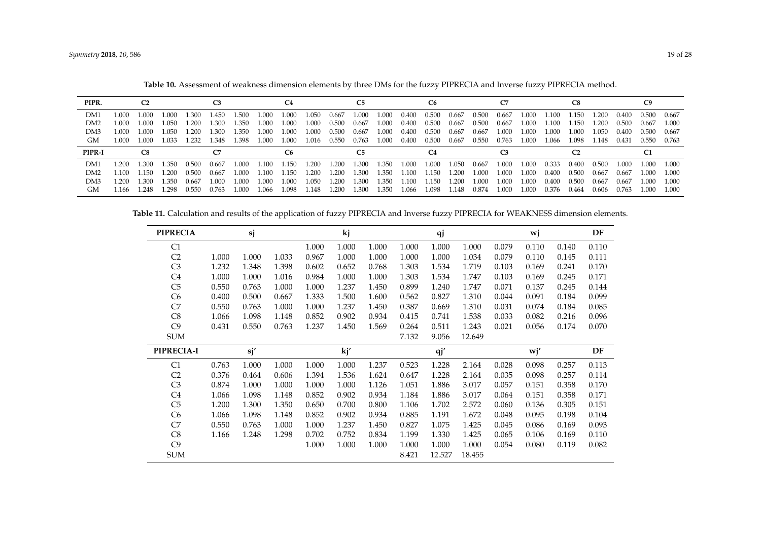| PIPR.           |      | C2    |       |       |       |       |                 | C4    |       |       | ĊЭ    |       |       | C6    |       |       |       |       |       |       |       |       |       |       |
|-----------------|------|-------|-------|-------|-------|-------|-----------------|-------|-------|-------|-------|-------|-------|-------|-------|-------|-------|-------|-------|-------|-------|-------|-------|-------|
| $DM^*$          | ാററ  | 1.000 | .000  | .300  | .450  | 1.500 | .000            | 1.000 | .050  | 0.667 | l.000 | 1.000 | 0.400 | 0.500 | 0.667 | 0.500 | 0.667 | 1.000 | .100  | .150  | .200  | 0.400 | 0.500 | 0.667 |
| DM2             | .000 | 1.000 | 1.050 | .200  | .300  | .350  | .00(            | 1.000 | l.000 | 0.500 | 0.667 | 1.000 | 0.400 | 0.500 | 0.667 | 0.500 | 0.667 | 1.000 | .100  | .150  | .200  | 0.500 | 0.667 | 1.000 |
| DM3             | .000 | 1.000 | 1.050 | .200  | .300  | .350  | .00(            | 1.000 | .000  | 0.500 | 0.667 | 1.000 | 0.400 | 0.500 | 0.667 | 0.667 | 1.000 | 1.000 | .000  | 1.000 | 1.050 | 0.400 | 0.500 | 0.667 |
| GМ              | .000 | 1.000 | 1.033 | .232  | .348  | .398  | 00 <sup>c</sup> | 1.000 | 1.016 | 0.550 | 0.763 | 1.000 | 0.400 | 0.500 | 0.667 | 0.550 | 0.763 | 1.000 | .066  | 1.098 | .148  | 0.431 | 0.550 | 0.763 |
| PIPR-I          |      | C8    |       |       |       |       |                 | C6    |       |       | ĊЭ    |       |       | C4    |       |       | C3    |       |       |       |       |       |       |       |
| DM <sup>1</sup> | .200 | 1.300 | .350  | 0.500 | 0.667 | 1.000 | .100            | .150  | .200  | .200  | .300  | .350  | 1.000 | 1.000 | 1.050 | 0.667 | 1.000 | 1.000 | 0.333 | 0.400 | 0.500 | 1.000 | 1.000 | 1.000 |
| DM2             | .100 | . 150 | .200  | 0.500 | 0.667 | 1.000 | .10(            | .150  | .200  | .200  | .300  | . 350 | 1.100 | 1.150 | .200  | 1.000 | 1.000 | 1.000 | 0.400 | 0.500 | 0.667 | 0.667 | 1.000 | 1.000 |
| DM3             | .200 | 1.300 | .350  | 0.667 | .000  | 1.000 | .00             | 1.000 | .050  | .200  | .300  | .350  | 1.100 | 1.150 | .200  | 1.000 | 1.000 | 1.000 | 0.400 | 0.500 | 0.667 | 0.667 | 1.000 | 1.000 |
| GМ              | .166 | .248  | .298  | 0.550 | 0.763 | 1.000 | .066            | 1.098 | .148  | .200  | .300  | .350  | 1.066 | 1.098 | 148.  | 0.874 | 1.000 | 1.000 | 0.376 | 0.464 | 0.606 | 0.763 | 1.000 | 1.000 |

**Table 10.** Assessment of weakness dimension elements by three DMs for the fuzzy PIPRECIA and Inverse fuzzy PIPRECIA method.

**Table 11.** Calculation and results of the application of fuzzy PIPRECIA and Inverse fuzzy PIPRECIA for WEAKNESS dimension elements.

| <b>PIPRECIA</b> |       | sj    |       |       | kj    |       |       | qj     |        |       | wj    |       | DF    |
|-----------------|-------|-------|-------|-------|-------|-------|-------|--------|--------|-------|-------|-------|-------|
| C1              |       |       |       | 1.000 | 1.000 | 1.000 | 1.000 | 1.000  | 1.000  | 0.079 | 0.110 | 0.140 | 0.110 |
| C <sub>2</sub>  | 1.000 | 1.000 | 1.033 | 0.967 | 1.000 | 1.000 | 1.000 | 1.000  | 1.034  | 0.079 | 0.110 | 0.145 | 0.111 |
| C <sub>3</sub>  | 1.232 | 1.348 | 1.398 | 0.602 | 0.652 | 0.768 | 1.303 | 1.534  | 1.719  | 0.103 | 0.169 | 0.241 | 0.170 |
| C <sub>4</sub>  | 1.000 | 1.000 | 1.016 | 0.984 | 1.000 | 1.000 | 1.303 | 1.534  | 1.747  | 0.103 | 0.169 | 0.245 | 0.171 |
| C <sub>5</sub>  | 0.550 | 0.763 | 1.000 | 1.000 | 1.237 | 1.450 | 0.899 | 1.240  | 1.747  | 0.071 | 0.137 | 0.245 | 0.144 |
| C <sub>6</sub>  | 0.400 | 0.500 | 0.667 | 1.333 | 1.500 | 1.600 | 0.562 | 0.827  | 1.310  | 0.044 | 0.091 | 0.184 | 0.099 |
| C7              | 0.550 | 0.763 | 1.000 | 1.000 | 1.237 | 1.450 | 0.387 | 0.669  | 1.310  | 0.031 | 0.074 | 0.184 | 0.085 |
| C8              | 1.066 | 1.098 | 1.148 | 0.852 | 0.902 | 0.934 | 0.415 | 0.741  | 1.538  | 0.033 | 0.082 | 0.216 | 0.096 |
| C9              | 0.431 | 0.550 | 0.763 | 1.237 | 1.450 | 1.569 | 0.264 | 0.511  | 1.243  | 0.021 | 0.056 | 0.174 | 0.070 |
| <b>SUM</b>      |       |       |       |       |       |       | 7.132 | 9.056  | 12.649 |       |       |       |       |
| PIPRECIA-I      |       | sj'   |       |       | kj'   |       |       | qj'    |        |       | wj'   |       | DF    |
| C1              | 0.763 | 1.000 | 1.000 | 1.000 | 1.000 | 1.237 | 0.523 | 1.228  | 2.164  | 0.028 | 0.098 | 0.257 | 0.113 |
| C <sub>2</sub>  | 0.376 | 0.464 | 0.606 | 1.394 | 1.536 | 1.624 | 0.647 | 1.228  | 2.164  | 0.035 | 0.098 | 0.257 | 0.114 |
| C <sub>3</sub>  | 0.874 | 1.000 | 1.000 | 1.000 | 1.000 | 1.126 | 1.051 | 1.886  | 3.017  | 0.057 | 0.151 | 0.358 | 0.170 |
| C <sub>4</sub>  | 1.066 | 1.098 | 1.148 | 0.852 | 0.902 | 0.934 | 1.184 | 1.886  | 3.017  | 0.064 | 0.151 | 0.358 | 0.171 |
| C <sub>5</sub>  | 1.200 | 1.300 | 1.350 | 0.650 | 0.700 | 0.800 | 1.106 | 1.702  | 2.572  | 0.060 | 0.136 | 0.305 | 0.151 |
| C <sub>6</sub>  | 1.066 | 1.098 | 1.148 | 0.852 | 0.902 | 0.934 | 0.885 | 1.191  | 1.672  | 0.048 | 0.095 | 0.198 | 0.104 |
| C7              | 0.550 | 0.763 | 1.000 | 1.000 | 1.237 | 1.450 | 0.827 | 1.075  | 1.425  | 0.045 | 0.086 | 0.169 | 0.093 |
| C8              | 1.166 | 1.248 | 1.298 | 0.702 | 0.752 | 0.834 | 1.199 | 1.330  | 1.425  | 0.065 | 0.106 | 0.169 | 0.110 |
| C9              |       |       |       | 1.000 | 1.000 | 1.000 | 1.000 | 1.000  | 1.000  | 0.054 | 0.080 | 0.119 | 0.082 |
| <b>SUM</b>      |       |       |       |       |       |       | 8.421 | 12.527 | 18.455 |       |       |       |       |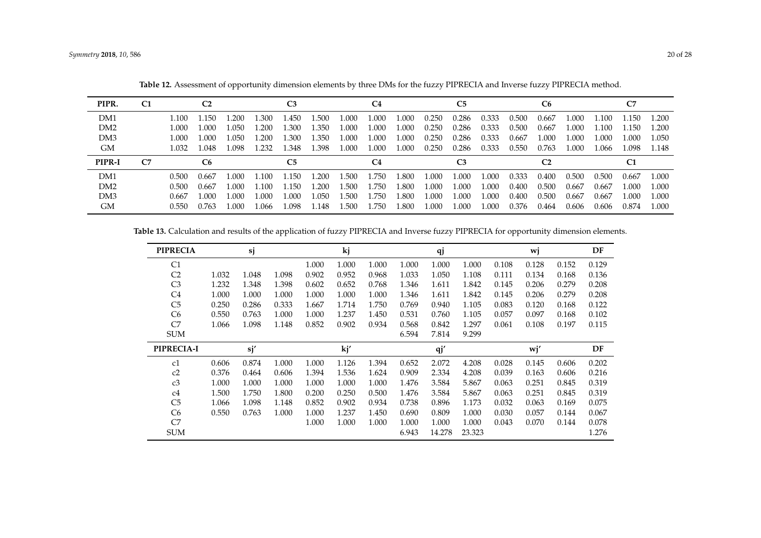| PIPR.           | C1 |       | C2             |       |       | C <sub>3</sub> |       |       | C4    |       |       | C5             |       |       | C <sub>6</sub> |       |       | C7             |       |
|-----------------|----|-------|----------------|-------|-------|----------------|-------|-------|-------|-------|-------|----------------|-------|-------|----------------|-------|-------|----------------|-------|
| DM1             |    | 100   | .150           | .200  | .300  | .450           | l.500 | .000  | 000   | l.000 | 0.250 | 0.286          | 0.333 | 0.500 | 0.667          | L.000 | .100  | .150           | 1.200 |
| DM <sub>2</sub> |    | .000  | .000           | .050  | 1.200 | .300           | 1.350 | .000  | .000  | l.000 | 0.250 | 0.286          | 0.333 | 0.500 | 0.667          | L.000 | .100  | .150           | 1.200 |
| DM <sub>3</sub> |    | 000.  | .000           | .050  | 1.200 | .300           | l.350 | .000  | .000  | l.000 | 0.250 | 0.286          | 0.333 | 0.667 | 1.000          | .000  | .000  | .000           | 1.050 |
| GМ              |    | 1.032 | L.048          | .098  | 1.232 | .348           | .398  | l.000 | .000  | l.000 | 0.250 | 0.286          | 0.333 | 0.550 | 0.763          | .000  | .066  | .098           | 1.148 |
|                 |    |       |                |       |       |                |       |       |       |       |       |                |       |       |                |       |       |                |       |
| PIPR-I          | C7 |       | C <sub>6</sub> |       |       | C <sub>5</sub> |       |       | C4    |       |       | C <sub>3</sub> |       |       | C <sub>2</sub> |       |       | C <sub>1</sub> |       |
| DM1             |    | 0.500 | 0.667          | .000  | 1.100 | .150           | 1.200 | l.500 | 1.750 | l.800 | 1.000 | l.000          | 1.000 | 0.333 | 0.400          | 0.500 | 0.500 | 0.667          | 1.000 |
| DM <sub>2</sub> |    | 0.500 | 0.667          | L.000 | 1.100 | .150           | 1.200 | .500  | 750   | l.800 | 1.000 | 1.000          | 1.000 | 0.400 | 0.500          | 0.667 | 0.667 | .000           | 1.000 |
| DM <sub>3</sub> |    | 0.667 | 000.1          | .000  | 1.000 | .000           | 1.050 | .500  | .750  | l.800 | 1.000 | L.000          | l.000 | 0.400 | 0.500          | 0.667 | 0.667 | .000           | 1.000 |

**Table 12.** Assessment of opportunity dimension elements by three DMs for the fuzzy PIPRECIA and Inverse fuzzy PIPRECIA method.

**Table 13.** Calculation and results of the application of fuzzy PIPRECIA and Inverse fuzzy PIPRECIA for opportunity dimension elements.

| <b>PIPRECIA</b> |       | sj    |       |       | kj    |       |       | qj     |        |       | wj    |       | DF    |
|-----------------|-------|-------|-------|-------|-------|-------|-------|--------|--------|-------|-------|-------|-------|
| C1              |       |       |       | 1.000 | 1.000 | 1.000 | 1.000 | 1.000  | 1.000  | 0.108 | 0.128 | 0.152 | 0.129 |
| C <sub>2</sub>  | 1.032 | 1.048 | 1.098 | 0.902 | 0.952 | 0.968 | 1.033 | 1.050  | 1.108  | 0.111 | 0.134 | 0.168 | 0.136 |
| C <sub>3</sub>  | 1.232 | 1.348 | 1.398 | 0.602 | 0.652 | 0.768 | 1.346 | 1.611  | 1.842  | 0.145 | 0.206 | 0.279 | 0.208 |
| C4              | 1.000 | 1.000 | 1.000 | 1.000 | 1.000 | 1.000 | 1.346 | 1.611  | 1.842  | 0.145 | 0.206 | 0.279 | 0.208 |
| C <sub>5</sub>  | 0.250 | 0.286 | 0.333 | 1.667 | 1.714 | 1.750 | 0.769 | 0.940  | 1.105  | 0.083 | 0.120 | 0.168 | 0.122 |
| C6              | 0.550 | 0.763 | 1.000 | 1.000 | 1.237 | 1.450 | 0.531 | 0.760  | 1.105  | 0.057 | 0.097 | 0.168 | 0.102 |
| C7              | 1.066 | 1.098 | 1.148 | 0.852 | 0.902 | 0.934 | 0.568 | 0.842  | 1.297  | 0.061 | 0.108 | 0.197 | 0.115 |
| <b>SUM</b>      |       |       |       |       |       |       | 6.594 | 7.814  | 9.299  |       |       |       |       |
| PIPRECIA-I      |       | sj'   |       |       | kj'   |       |       | qj'    |        |       | wj'   |       | DF    |
| c1              | 0.606 | 0.874 | 1.000 | 1.000 | 1.126 | 1.394 | 0.652 | 2.072  | 4.208  | 0.028 | 0.145 | 0.606 | 0.202 |
| c2              | 0.376 | 0.464 | 0.606 | 1.394 | 1.536 | 1.624 | 0.909 | 2.334  | 4.208  | 0.039 | 0.163 | 0.606 | 0.216 |
| c3              | 1.000 | 1.000 | 1.000 | 1.000 | 1.000 | 1.000 | 1.476 | 3.584  | 5.867  | 0.063 | 0.251 | 0.845 | 0.319 |
| c4              | 1.500 | 1.750 | 1.800 | 0.200 | 0.250 | 0.500 | 1.476 | 3.584  | 5.867  | 0.063 | 0.251 | 0.845 | 0.319 |
| C <sub>5</sub>  | 1.066 | 1.098 | 1.148 | 0.852 | 0.902 | 0.934 | 0.738 | 0.896  | 1.173  | 0.032 | 0.063 | 0.169 | 0.075 |
| C <sub>6</sub>  | 0.550 | 0.763 | 1.000 | 1.000 | 1.237 | 1.450 | 0.690 | 0.809  | 1.000  | 0.030 | 0.057 | 0.144 | 0.067 |
| C7              |       |       |       | 1.000 | 1.000 | 1.000 | 1.000 | 1.000  | 1.000  | 0.043 | 0.070 | 0.144 | 0.078 |
| <b>SUM</b>      |       |       |       |       |       |       | 6.943 | 14.278 | 23.323 |       |       |       | 1.276 |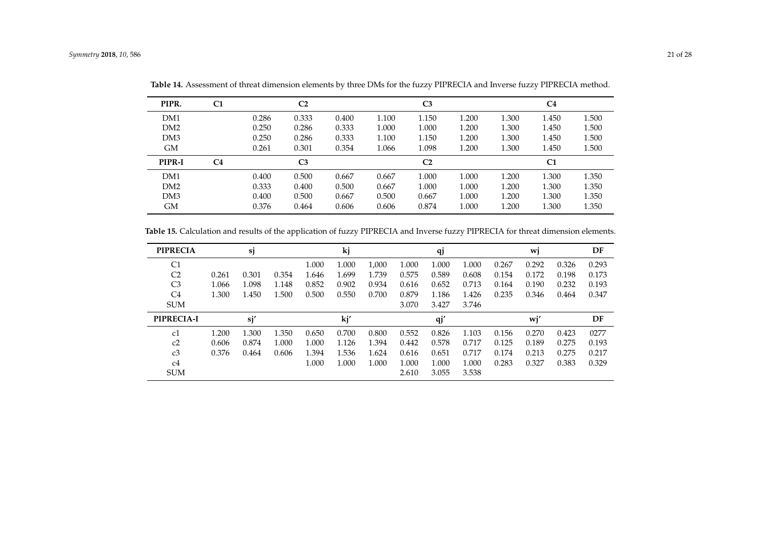| PIPR.           | C1 |       | C <sub>2</sub> |       |       | C <sub>3</sub> |       |       | C4    |       |
|-----------------|----|-------|----------------|-------|-------|----------------|-------|-------|-------|-------|
| DM1             |    | 0.286 | 0.333          | 0.400 | 1.100 | 1.150          | 1.200 | 1.300 | 1.450 | 1.500 |
| DM <sub>2</sub> |    | 0.250 | 0.286          | 0.333 | 1.000 | 1.000          | 1.200 | 1.300 | 1.450 | 1.500 |
| DM3             |    | 0.250 | 0.286          | 0.333 | 1.100 | 1.150          | 1.200 | 1.300 | 1.450 | 1.500 |
| GМ              |    | 0.261 | 0.301          | 0.354 | 1.066 | 1.098          | 1.200 | 1.300 | 1.450 | 1.500 |
| PIPR-I          | C4 |       | C <sub>3</sub> |       |       | C <sub>2</sub> |       |       | C1    |       |
| DM1             |    | 0.400 | 0.500          | 0.667 | 0.667 | 1.000          | 1.000 | 1.200 | 1.300 | 1.350 |
| DM <sub>2</sub> |    | 0.333 | 0.400          | 0.500 | 0.667 | 1.000          | 1.000 | 1.200 | 1.300 | 1.350 |
| DM <sub>3</sub> |    | 0.400 | 0.500          | 0.667 | 0.500 | 0.667          | 1.000 | 1.200 | 1.300 | 1.350 |
| GМ              |    | 0.376 | 0.464          | 0.606 | 0.606 | 0.874          | 1.000 | 1.200 | 1.300 | 1.350 |

**Table 14.** Assessment of threat dimension elements by three DMs for the fuzzy PIPRECIA and Inverse fuzzy PIPRECIA method.

**Table 15.** Calculation and results of the application of fuzzy PIPRECIA and Inverse fuzzy PIPRECIA for threat dimension elements.

<span id="page-20-0"></span>

| <b>PIPRECIA</b> |       | sj    |       |       | kj    |       |       | qj    |       |       | wj    |       | DF    |
|-----------------|-------|-------|-------|-------|-------|-------|-------|-------|-------|-------|-------|-------|-------|
| C <sub>1</sub>  |       |       |       | 1.000 | 1.000 | 1,000 | 1.000 | 1.000 | 1.000 | 0.267 | 0.292 | 0.326 | 0.293 |
| C <sub>2</sub>  | 0.261 | 0.301 | 0.354 | 1.646 | 1.699 | 1.739 | 0.575 | 0.589 | 0.608 | 0.154 | 0.172 | 0.198 | 0.173 |
| C <sub>3</sub>  | 1.066 | 1.098 | 1.148 | 0.852 | 0.902 | 0.934 | 0.616 | 0.652 | 0.713 | 0.164 | 0.190 | 0.232 | 0.193 |
| C4              | 1.300 | 1.450 | 1.500 | 0.500 | 0.550 | 0.700 | 0.879 | 1.186 | 1.426 | 0.235 | 0.346 | 0.464 | 0.347 |
| <b>SUM</b>      |       |       |       |       |       |       | 3.070 | 3.427 | 3.746 |       |       |       |       |
| PIPRECIA-I      |       | sj'   |       |       | kj'   |       |       | qj'   |       |       | wj'   |       | DF    |
| c1              | 1.200 | 1.300 | 1.350 | 0.650 | 0.700 | 0.800 | 0.552 | 0.826 | 1.103 | 0.156 | 0.270 | 0.423 | 0277  |
| c2              | 0.606 | 0.874 | 1.000 | 1.000 | 1.126 | 1.394 | 0.442 | 0.578 | 0.717 | 0.125 | 0.189 | 0.275 | 0.193 |
| c3              | 0.376 | 0.464 | 0.606 | 1.394 | 1.536 | 1.624 | 0.616 | 0.651 | 0.717 | 0.174 | 0.213 | 0.275 | 0.217 |
| c4              |       |       |       | 1.000 | 1.000 | 1.000 | 1.000 | 1.000 | 1.000 | 0.283 | 0.327 | 0.383 | 0.329 |
| <b>SUM</b>      |       |       |       |       |       |       | 2.610 | 3.055 | 3.538 |       |       |       |       |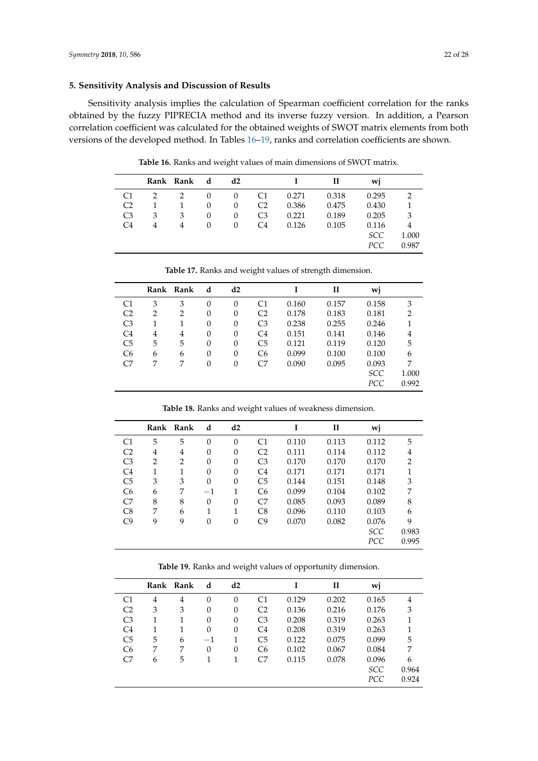#### <span id="page-21-0"></span>**5. Sensitivity Analysis and Discussion of Results**

Sensitivity analysis implies the calculation of Spearman coefficient correlation for the ranks obtained by the fuzzy PIPRECIA method and its inverse fuzzy version. In addition, a Pearson correlation coefficient was calculated for the obtained weights of SWOT matrix elements from both versions of the developed method. In Tables [16–](#page-21-1)[19,](#page-21-2) ranks and correlation coefficients are shown.

<span id="page-21-1"></span>

|                |   | Rank Rank | d        | d2       |                |       | н     | <b>W</b> |       |
|----------------|---|-----------|----------|----------|----------------|-------|-------|----------|-------|
| C1             |   |           | $\theta$ | $\theta$ | C1             | 0.271 | 0.318 | 0.295    |       |
| C <sub>2</sub> |   |           | $\Omega$ | 0        | C2             | 0.386 | 0.475 | 0.430    |       |
| C <sub>3</sub> | 3 | 3         | 0        | 0        | C <sub>3</sub> | 0.221 | 0.189 | 0.205    | 3     |
| C4             | 4 | 4         | $\Omega$ | 0        | C4             | 0.126 | 0.105 | 0.116    | 4     |
|                |   |           |          |          |                |       |       | SCC      | 1.000 |
|                |   |           |          |          |                |       |       | PCC      | 0.987 |

**Table 16.** Ranks and weight values of main dimensions of SWOT matrix.

**Table 17.** Ranks and weight values of strength dimension.

|                |   | Rank Rank | d        | d2       |                |       | $\mathbf{I}$ | <b>W</b>   |       |
|----------------|---|-----------|----------|----------|----------------|-------|--------------|------------|-------|
| C <sub>1</sub> | 3 | 3         | $\theta$ | $\theta$ | C1             | 0.160 | 0.157        | 0.158      | 3     |
| C <sub>2</sub> | 2 | 2         | $\theta$ | $\theta$ | C <sub>2</sub> | 0.178 | 0.183        | 0.181      | 2     |
| C <sub>3</sub> | 1 | 1         | $\theta$ | $\theta$ | C <sub>3</sub> | 0.238 | 0.255        | 0.246      |       |
| C <sub>4</sub> | 4 | 4         | 0        | $\theta$ | C4             | 0.151 | 0.141        | 0.146      | 4     |
| C <sub>5</sub> | 5 | 5         | $\theta$ | $\theta$ | C <sub>5</sub> | 0.121 | 0.119        | 0.120      | 5     |
| C6             | 6 | 6         | $\theta$ | $\theta$ | C <sub>6</sub> | 0.099 | 0.100        | 0.100      | 6     |
| C7             | 7 | 7         | 0        | $\theta$ | C7             | 0.090 | 0.095        | 0.093      | 7     |
|                |   |           |          |          |                |       |              | <b>SCC</b> | 1.000 |
|                |   |           |          |          |                |       |              | PCC        | 0.992 |

**Table 18.** Ranks and weight values of weakness dimension.

|                |                | Rank Rank | d        | d2             |                |       | $\mathbf{I}$ | Wİ    |                |
|----------------|----------------|-----------|----------|----------------|----------------|-------|--------------|-------|----------------|
| C <sub>1</sub> | 5              | 5         | $\theta$ | $\overline{0}$ | C1             | 0.110 | 0.113        | 0.112 | 5              |
| C <sub>2</sub> | 4              | 4         | $\theta$ | $\Omega$       | C <sub>2</sub> | 0.111 | 0.114        | 0.112 | 4              |
| C <sub>3</sub> | $\overline{2}$ | 2         | $\theta$ | $\Omega$       | C <sub>3</sub> | 0.170 | 0.170        | 0.170 | $\overline{2}$ |
| C <sub>4</sub> | 1              | 1         | $\theta$ | $\Omega$       | C <sub>4</sub> | 0.171 | 0.171        | 0.171 | 1              |
| C <sub>5</sub> | 3              | 3         | $\theta$ | $\Omega$       | C <sub>5</sub> | 0.144 | 0.151        | 0.148 | 3              |
| C <sub>6</sub> | 6              | 7         | $-1$     | 1              | C <sub>6</sub> | 0.099 | 0.104        | 0.102 | 7              |
| C7             | 8              | 8         | $\theta$ | $\Omega$       | C7             | 0.085 | 0.093        | 0.089 | 8              |
| C8             | 7              | 6         | 1        | 1              | C8             | 0.096 | 0.110        | 0.103 | 6              |
| C9             | 9              | 9         | 0        | $\overline{0}$ | C9             | 0.070 | 0.082        | 0.076 | 9              |
|                |                |           |          |                |                |       |              | SCC   | 0.983          |
|                |                |           |          |                |                |       |              | PCC   | 0.995          |

**Table 19.** Ranks and weight values of opportunity dimension.

<span id="page-21-2"></span>

|                |   | Rank Rank | d        | d2             |                |       | $\mathbf{I}$ | wj         |       |
|----------------|---|-----------|----------|----------------|----------------|-------|--------------|------------|-------|
| C <sub>1</sub> | 4 | 4         | $\Omega$ | $\theta$       | C1             | 0.129 | 0.202        | 0.165      | 4     |
| C <sub>2</sub> | 3 | 3         | $\Omega$ | $\theta$       | C <sub>2</sub> | 0.136 | 0.216        | 0.176      | 3     |
| C <sub>3</sub> | 1 |           | $\Omega$ | $\theta$       | C <sub>3</sub> | 0.208 | 0.319        | 0.263      | 1     |
| C <sub>4</sub> |   |           | $\Omega$ | $\Omega$       | C4             | 0.208 | 0.319        | 0.263      |       |
| C <sub>5</sub> | 5 | 6         | $-1$     | 1              | C <sub>5</sub> | 0.122 | 0.075        | 0.099      | 5     |
| C <sub>6</sub> | 7 | 7         | $\Omega$ | $\overline{0}$ | C6             | 0.102 | 0.067        | 0.084      | 7     |
| C7             | 6 | 5         |          |                | C7             | 0.115 | 0.078        | 0.096      | 6     |
|                |   |           |          |                |                |       |              | <b>SCC</b> | 0.964 |
|                |   |           |          |                |                |       |              | PCC        | 0.924 |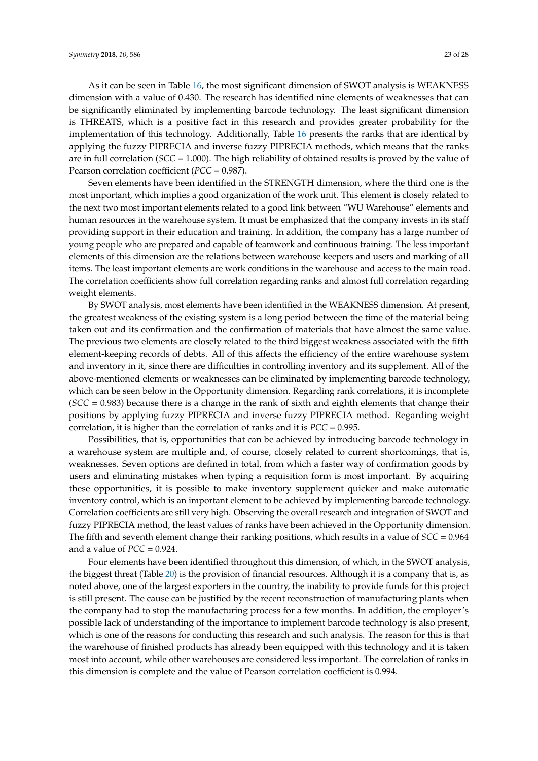As it can be seen in Table [16,](#page-21-1) the most significant dimension of SWOT analysis is WEAKNESS dimension with a value of 0.430. The research has identified nine elements of weaknesses that can be significantly eliminated by implementing barcode technology. The least significant dimension is THREATS, which is a positive fact in this research and provides greater probability for the implementation of this technology. Additionally, Table [16](#page-21-1) presents the ranks that are identical by applying the fuzzy PIPRECIA and inverse fuzzy PIPRECIA methods, which means that the ranks are in full correlation (*SCC* = 1.000). The high reliability of obtained results is proved by the value of Pearson correlation coefficient (*PCC* = 0.987).

Seven elements have been identified in the STRENGTH dimension, where the third one is the most important, which implies a good organization of the work unit. This element is closely related to the next two most important elements related to a good link between "WU Warehouse" elements and human resources in the warehouse system. It must be emphasized that the company invests in its staff providing support in their education and training. In addition, the company has a large number of young people who are prepared and capable of teamwork and continuous training. The less important elements of this dimension are the relations between warehouse keepers and users and marking of all items. The least important elements are work conditions in the warehouse and access to the main road. The correlation coefficients show full correlation regarding ranks and almost full correlation regarding weight elements.

By SWOT analysis, most elements have been identified in the WEAKNESS dimension. At present, the greatest weakness of the existing system is a long period between the time of the material being taken out and its confirmation and the confirmation of materials that have almost the same value. The previous two elements are closely related to the third biggest weakness associated with the fifth element-keeping records of debts. All of this affects the efficiency of the entire warehouse system and inventory in it, since there are difficulties in controlling inventory and its supplement. All of the above-mentioned elements or weaknesses can be eliminated by implementing barcode technology, which can be seen below in the Opportunity dimension. Regarding rank correlations, it is incomplete (*SCC* = 0.983) because there is a change in the rank of sixth and eighth elements that change their positions by applying fuzzy PIPRECIA and inverse fuzzy PIPRECIA method. Regarding weight correlation, it is higher than the correlation of ranks and it is *PCC* = 0.995.

Possibilities, that is, opportunities that can be achieved by introducing barcode technology in a warehouse system are multiple and, of course, closely related to current shortcomings, that is, weaknesses. Seven options are defined in total, from which a faster way of confirmation goods by users and eliminating mistakes when typing a requisition form is most important. By acquiring these opportunities, it is possible to make inventory supplement quicker and make automatic inventory control, which is an important element to be achieved by implementing barcode technology. Correlation coefficients are still very high. Observing the overall research and integration of SWOT and fuzzy PIPRECIA method, the least values of ranks have been achieved in the Opportunity dimension. The fifth and seventh element change their ranking positions, which results in a value of *SCC* = 0.964 and a value of  $PCC = 0.924$ .

Four elements have been identified throughout this dimension, of which, in the SWOT analysis, the biggest threat (Table [20\)](#page-23-0) is the provision of financial resources. Although it is a company that is, as noted above, one of the largest exporters in the country, the inability to provide funds for this project is still present. The cause can be justified by the recent reconstruction of manufacturing plants when the company had to stop the manufacturing process for a few months. In addition, the employer's possible lack of understanding of the importance to implement barcode technology is also present, which is one of the reasons for conducting this research and such analysis. The reason for this is that the warehouse of finished products has already been equipped with this technology and it is taken most into account, while other warehouses are considered less important. The correlation of ranks in this dimension is complete and the value of Pearson correlation coefficient is 0.994.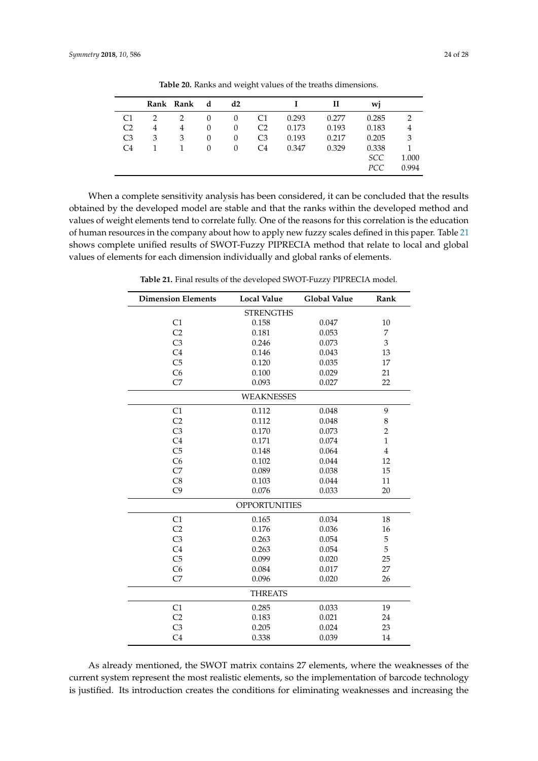<span id="page-23-0"></span>

|                |               | Rank Rank     | d | d2       |                |       | П     | <b>W</b> |       |
|----------------|---------------|---------------|---|----------|----------------|-------|-------|----------|-------|
| C <sub>1</sub> | $\mathcal{L}$ | $\mathcal{L}$ | 0 | 0        | C1             | 0.293 | 0.277 | 0.285    |       |
| C <sub>2</sub> | 4             | 4             | 0 | 0        | C2             | 0.173 | 0.193 | 0.183    | 4     |
| C <sub>3</sub> | 3             | 3             | 0 | 0        | C <sub>3</sub> | 0.193 | 0.217 | 0.205    | 3     |
| C <sub>4</sub> |               |               | 0 | $\Omega$ | C4             | 0.347 | 0.329 | 0.338    |       |
|                |               |               |   |          |                |       |       | SCC      | 1.000 |
|                |               |               |   |          |                |       |       | PCC      | 0.994 |

**Table 20.** Ranks and weight values of the treaths dimensions.

When a complete sensitivity analysis has been considered, it can be concluded that the results obtained by the developed model are stable and that the ranks within the developed method and values of weight elements tend to correlate fully. One of the reasons for this correlation is the education of human resources in the company about how to apply new fuzzy scales defined in this paper. Table [21](#page-23-1) shows complete unified results of SWOT-Fuzzy PIPRECIA method that relate to local and global values of elements for each dimension individually and global ranks of elements.

<span id="page-23-1"></span>

| <b>Dimension Elements</b> | <b>Local Value</b>   | <b>Global Value</b> | Rank             |
|---------------------------|----------------------|---------------------|------------------|
|                           | <b>STRENGTHS</b>     |                     |                  |
| C1                        | 0.158                | 0.047               | 10               |
| C <sub>2</sub>            | 0.181                | 0.053               | 7                |
| C <sub>3</sub>            | 0.246                | 0.073               | $\mathfrak{Z}$   |
| C <sub>4</sub>            | 0.146                | 0.043               | 13               |
| C <sub>5</sub>            | 0.120                | 0.035               | 17               |
| C <sub>6</sub>            | 0.100                | 0.029               | 21               |
| C7                        | 0.093                | 0.027               | 22               |
|                           | <b>WEAKNESSES</b>    |                     |                  |
| C1                        | 0.112                | 0.048               | $\boldsymbol{9}$ |
| C <sub>2</sub>            | 0.112                | 0.048               | $\,8\,$          |
| C <sub>3</sub>            | 0.170                | 0.073               | $\overline{2}$   |
| C <sub>4</sub>            | 0.171                | 0.074               | $\mathbf{1}$     |
| C <sub>5</sub>            | 0.148                | 0.064               | $\overline{4}$   |
| C6                        | 0.102                | 0.044               | 12               |
| C7                        | 0.089                | 0.038               | 15               |
| $\mbox{C}8$               | 0.103                | 0.044               | 11               |
| C9                        | 0.076                | 0.033               | 20               |
|                           | <b>OPPORTUNITIES</b> |                     |                  |
| C1                        | 0.165                | 0.034               | 18               |
| C <sub>2</sub>            | 0.176                | 0.036               | 16               |
| C <sub>3</sub>            | 0.263                | 0.054               | 5                |
| C <sub>4</sub>            | 0.263                | 0.054               | 5                |
| C <sub>5</sub>            | 0.099                | 0.020               | 25               |
| C <sub>6</sub>            | 0.084                | 0.017               | 27               |
| C7                        | 0.096                | 0.020               | 26               |
|                           | <b>THREATS</b>       |                     |                  |
| C1                        | 0.285                | 0.033               | 19               |
| C <sub>2</sub>            | 0.183                | 0.021               | 24               |
| C <sub>3</sub>            | 0.205                | 0.024               | 23               |
| C <sub>4</sub>            | 0.338                | 0.039               | 14               |

**Table 21.** Final results of the developed SWOT-Fuzzy PIPRECIA model.

As already mentioned, the SWOT matrix contains 27 elements, where the weaknesses of the current system represent the most realistic elements, so the implementation of barcode technology is justified. Its introduction creates the conditions for eliminating weaknesses and increasing the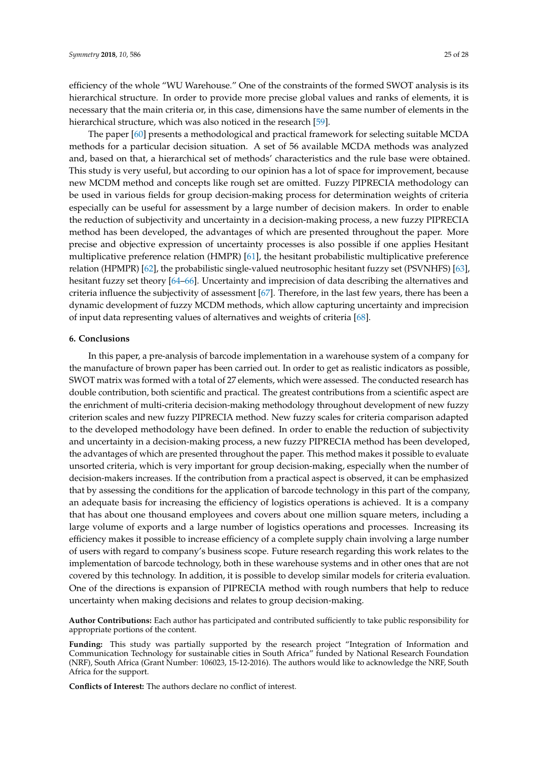efficiency of the whole "WU Warehouse." One of the constraints of the formed SWOT analysis is its hierarchical structure. In order to provide more precise global values and ranks of elements, it is necessary that the main criteria or, in this case, dimensions have the same number of elements in the hierarchical structure, which was also noticed in the research [\[59\]](#page-27-7).

The paper [\[60\]](#page-27-8) presents a methodological and practical framework for selecting suitable MCDA methods for a particular decision situation. A set of 56 available MCDA methods was analyzed and, based on that, a hierarchical set of methods' characteristics and the rule base were obtained. This study is very useful, but according to our opinion has a lot of space for improvement, because new MCDM method and concepts like rough set are omitted. Fuzzy PIPRECIA methodology can be used in various fields for group decision-making process for determination weights of criteria especially can be useful for assessment by a large number of decision makers. In order to enable the reduction of subjectivity and uncertainty in a decision-making process, a new fuzzy PIPRECIA method has been developed, the advantages of which are presented throughout the paper. More precise and objective expression of uncertainty processes is also possible if one applies Hesitant multiplicative preference relation (HMPR) [\[61\]](#page-27-9), the hesitant probabilistic multiplicative preference relation (HPMPR) [\[62\]](#page-27-10), the probabilistic single-valued neutrosophic hesitant fuzzy set (PSVNHFS) [\[63\]](#page-27-11), hesitant fuzzy set theory [\[64–](#page-27-12)[66\]](#page-27-13). Uncertainty and imprecision of data describing the alternatives and criteria influence the subjectivity of assessment [\[67\]](#page-27-14). Therefore, in the last few years, there has been a dynamic development of fuzzy MCDM methods, which allow capturing uncertainty and imprecision of input data representing values of alternatives and weights of criteria [\[68\]](#page-27-15).

#### <span id="page-24-0"></span>**6. Conclusions**

In this paper, a pre-analysis of barcode implementation in a warehouse system of a company for the manufacture of brown paper has been carried out. In order to get as realistic indicators as possible, SWOT matrix was formed with a total of 27 elements, which were assessed. The conducted research has double contribution, both scientific and practical. The greatest contributions from a scientific aspect are the enrichment of multi-criteria decision-making methodology throughout development of new fuzzy criterion scales and new fuzzy PIPRECIA method. New fuzzy scales for criteria comparison adapted to the developed methodology have been defined. In order to enable the reduction of subjectivity and uncertainty in a decision-making process, a new fuzzy PIPRECIA method has been developed, the advantages of which are presented throughout the paper. This method makes it possible to evaluate unsorted criteria, which is very important for group decision-making, especially when the number of decision-makers increases. If the contribution from a practical aspect is observed, it can be emphasized that by assessing the conditions for the application of barcode technology in this part of the company, an adequate basis for increasing the efficiency of logistics operations is achieved. It is a company that has about one thousand employees and covers about one million square meters, including a large volume of exports and a large number of logistics operations and processes. Increasing its efficiency makes it possible to increase efficiency of a complete supply chain involving a large number of users with regard to company's business scope. Future research regarding this work relates to the implementation of barcode technology, both in these warehouse systems and in other ones that are not covered by this technology. In addition, it is possible to develop similar models for criteria evaluation. One of the directions is expansion of PIPRECIA method with rough numbers that help to reduce uncertainty when making decisions and relates to group decision-making.

**Author Contributions:** Each author has participated and contributed sufficiently to take public responsibility for appropriate portions of the content.

**Funding:** This study was partially supported by the research project "Integration of Information and Communication Technology for sustainable cities in South Africa" funded by National Research Foundation (NRF), South Africa (Grant Number: 106023, 15-12-2016). The authors would like to acknowledge the NRF, South Africa for the support.

**Conflicts of Interest:** The authors declare no conflict of interest.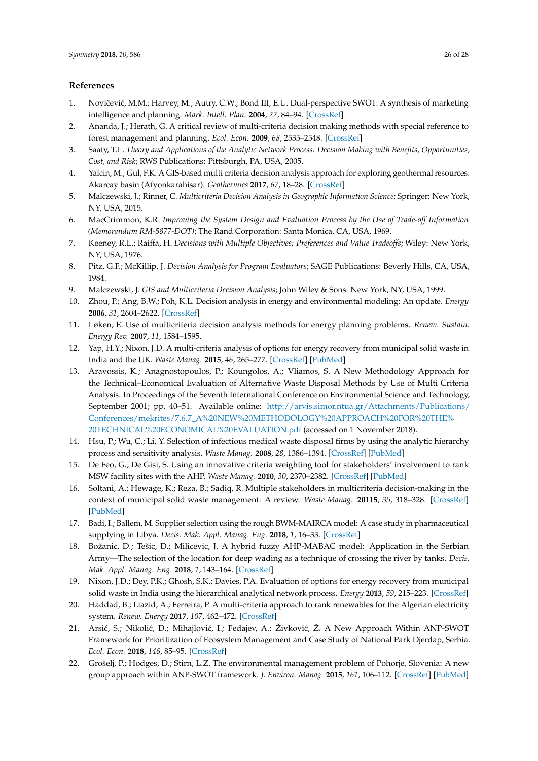#### **References**

- <span id="page-25-0"></span>1. Novičević, M.M.; Harvey, M.; Autry, C.W.; Bond III, E.U. Dual-perspective SWOT: A synthesis of marketing intelligence and planning. *Mark. Intell. Plan.* **2004**, *22*, 84–94. [\[CrossRef\]](http://dx.doi.org/10.1108/02634500410516931)
- <span id="page-25-1"></span>2. Ananda, J.; Herath, G. A critical review of multi-criteria decision making methods with special reference to forest management and planning. *Ecol. Econ.* **2009**, *68*, 2535–2548. [\[CrossRef\]](http://dx.doi.org/10.1016/j.ecolecon.2009.05.010)
- 3. Saaty, T.L. *Theory and Applications of the Analytic Network Process: Decision Making with Benefits, Opportunities, Cost, and Risk*; RWS Publications: Pittsburgh, PA, USA, 2005.
- <span id="page-25-2"></span>4. Yalcin, M.; Gul, F.K. A GIS-based multi criteria decision analysis approach for exploring geothermal resources: Akarcay basin (Afyonkarahisar). *Geothermics* **2017**, *67*, 18–28. [\[CrossRef\]](http://dx.doi.org/10.1016/j.geothermics.2017.01.002)
- <span id="page-25-3"></span>5. Malczewski, J.; Rinner, C. *Multicriteria Decision Analysis in Geographic Information Science*; Springer: New York, NY, USA, 2015.
- <span id="page-25-4"></span>6. MacCrimmon, K.R. *Improving the System Design and Evaluation Process by the Use of Trade-off Information (Memorandum RM-5877-DOT)*; The Rand Corporation: Santa Monica, CA, USA, 1969.
- 7. Keeney, R.L.; Raiffa, H. *Decisions with Multiple Objectives: Preferences and Value Tradeoffs*; Wiley: New York, NY, USA, 1976.
- 8. Pitz, G.F.; McKillip, J. *Decision Analysis for Program Evaluators*; SAGE Publications: Beverly Hills, CA, USA, 1984.
- <span id="page-25-5"></span>9. Malczewski, J. *GIS and Multicriteria Decision Analysis*; John Wiley & Sons: New York, NY, USA, 1999.
- <span id="page-25-6"></span>10. Zhou, P.; Ang, B.W.; Poh, K.L. Decision analysis in energy and environmental modeling: An update. *Energy* **2006**, *31*, 2604–2622. [\[CrossRef\]](http://dx.doi.org/10.1016/j.energy.2005.10.023)
- <span id="page-25-10"></span>11. Løken, E. Use of multicriteria decision analysis methods for energy planning problems. *Renew. Sustain. Energy Rev.* **2007**, *11*, 1584–1595.
- <span id="page-25-7"></span>12. Yap, H.Y.; Nixon, J.D. A multi-criteria analysis of options for energy recovery from municipal solid waste in India and the UK. *Waste Manag.* **2015**, *46*, 265–277. [\[CrossRef\]](http://dx.doi.org/10.1016/j.wasman.2015.08.002) [\[PubMed\]](http://www.ncbi.nlm.nih.gov/pubmed/26275797)
- <span id="page-25-8"></span>13. Aravossis, K.; Anagnostopoulos, P.; Koungolos, A.; Vliamos, S. A New Methodology Approach for the Technical–Economical Evaluation of Alternative Waste Disposal Methods by Use of Multi Criteria Analysis. In Proceedings of the Seventh International Conference on Environmental Science and Technology, September 2001; pp. 40-51. Available online: [http://arvis.simor.ntua.gr/Attachments/Publications/](http://arvis.simor.ntua.gr/Attachments/Publications/Conferences/mekrites/7.6.7_A%20NEW%20METHODOLOGY%20APPROACH%20FOR%20THE%20TECHNICAL%20ECONOMICAL%20EVALUATION.pdf) [Conferences/mekrites/7.6.7\\_A%20NEW%20METHODOLOGY%20APPROACH%20FOR%20THE%](http://arvis.simor.ntua.gr/Attachments/Publications/Conferences/mekrites/7.6.7_A%20NEW%20METHODOLOGY%20APPROACH%20FOR%20THE%20TECHNICAL%20ECONOMICAL%20EVALUATION.pdf) [20TECHNICAL%20ECONOMICAL%20EVALUATION.pdf](http://arvis.simor.ntua.gr/Attachments/Publications/Conferences/mekrites/7.6.7_A%20NEW%20METHODOLOGY%20APPROACH%20FOR%20THE%20TECHNICAL%20ECONOMICAL%20EVALUATION.pdf) (accessed on 1 November 2018).
- 14. Hsu, P.; Wu, C.; Li, Y. Selection of infectious medical waste disposal firms by using the analytic hierarchy process and sensitivity analysis. *Waste Manag.* **2008**, *28*, 1386–1394. [\[CrossRef\]](http://dx.doi.org/10.1016/j.wasman.2007.05.016) [\[PubMed\]](http://www.ncbi.nlm.nih.gov/pubmed/17689065)
- 15. De Feo, G.; De Gisi, S. Using an innovative criteria weighting tool for stakeholders' involvement to rank MSW facility sites with the AHP. *Waste Manag.* **2010**, *30*, 2370–2382. [\[CrossRef\]](http://dx.doi.org/10.1016/j.wasman.2010.04.010) [\[PubMed\]](http://www.ncbi.nlm.nih.gov/pubmed/20444589)
- 16. Soltani, A.; Hewage, K.; Reza, B.; Sadiq, R. Multiple stakeholders in multicriteria decision-making in the context of municipal solid waste management: A review. *Waste Manag.* **20115**, *35*, 318–328. [\[CrossRef\]](http://dx.doi.org/10.1016/j.wasman.2014.09.010) [\[PubMed\]](http://www.ncbi.nlm.nih.gov/pubmed/25301545)
- <span id="page-25-9"></span>17. Badi, I.; Ballem, M. Supplier selection using the rough BWM-MAIRCA model: A case study in pharmaceutical supplying in Libya. *Decis. Mak. Appl. Manag. Eng.* **2018**, *1*, 16–33. [\[CrossRef\]](http://dx.doi.org/10.31181/dmame1802016b)
- <span id="page-25-11"></span>18. Božanic, D.; Tešic, D.; Milicevic, J. A hybrid fuzzy AHP-MABAC model: Application in the Serbian Army—The selection of the location for deep wading as a technique of crossing the river by tanks. *Decis. Mak. Appl. Manag. Eng.* **2018**, *1*, 143–164. [\[CrossRef\]](http://dx.doi.org/10.31181/dmame1801143b)
- <span id="page-25-12"></span>19. Nixon, J.D.; Dey, P.K.; Ghosh, S.K.; Davies, P.A. Evaluation of options for energy recovery from municipal solid waste in India using the hierarchical analytical network process. *Energy* **2013**, *59*, 215–223. [\[CrossRef\]](http://dx.doi.org/10.1016/j.energy.2013.06.052)
- <span id="page-25-13"></span>20. Haddad, B.; Liazid, A.; Ferreira, P. A multi-criteria approach to rank renewables for the Algerian electricity system. *Renew. Energy* **2017**, *107*, 462–472. [\[CrossRef\]](http://dx.doi.org/10.1016/j.renene.2017.01.035)
- <span id="page-25-14"></span>21. Arsić, S.; Nikolić, D.; Mihajlović, I.; Fedajev, A.; Živković, Ž. A New Approach Within ANP-SWOT Framework for Prioritization of Ecosystem Management and Case Study of National Park Djerdap, Serbia. *Ecol. Econ.* **2018**, *146*, 85–95. [\[CrossRef\]](http://dx.doi.org/10.1016/j.ecolecon.2017.10.006)
- 22. Grošelj, P.; Hodges, D.; Stirn, L.Z. The environmental management problem of Pohorje, Slovenia: A new group approach within ANP-SWOT framework. *J. Environ. Manag.* **2015**, *161*, 106–112. [\[CrossRef\]](http://dx.doi.org/10.1016/j.jenvman.2015.06.038) [\[PubMed\]](http://www.ncbi.nlm.nih.gov/pubmed/26163424)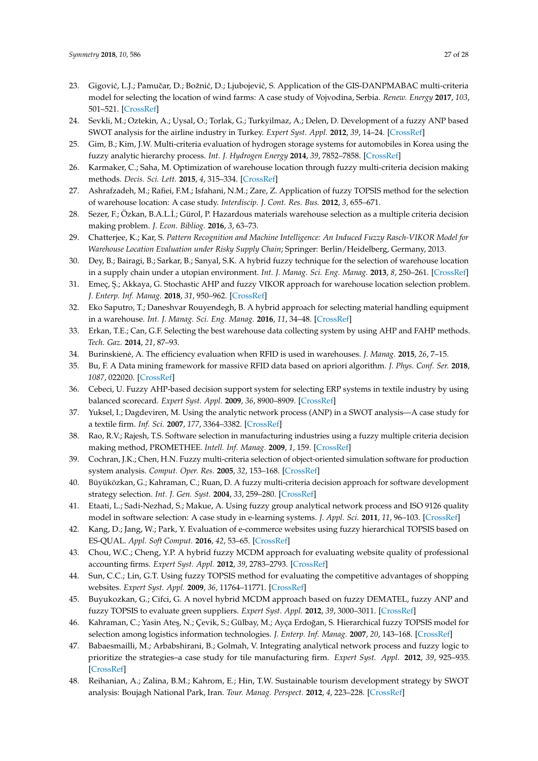- 23. Gigović, L.J.; Pamučar, D.; Božnić, D.; Ljubojević, S. Application of the GIS-DANPMABAC multi-criteria model for selecting the location of wind farms: A case study of Vojvodina, Serbia. *Renew. Energy* **2017**, *103*, 501–521. [\[CrossRef\]](http://dx.doi.org/10.1016/j.renene.2016.11.057)
- <span id="page-26-0"></span>24. Sevkli, M.; Oztekin, A.; Uysal, O.; Torlak, G.; Turkyilmaz, A.; Delen, D. Development of a fuzzy ANP based SWOT analysis for the airline industry in Turkey. *Expert Syst. Appl.* **2012**, *39*, 14–24. [\[CrossRef\]](http://dx.doi.org/10.1016/j.eswa.2011.06.047)
- <span id="page-26-1"></span>25. Gim, B.; Kim, J.W. Multi-criteria evaluation of hydrogen storage systems for automobiles in Korea using the fuzzy analytic hierarchy process. *Int. J. Hydrogen Energy* **2014**, *39*, 7852–7858. [\[CrossRef\]](http://dx.doi.org/10.1016/j.ijhydene.2014.03.066)
- <span id="page-26-2"></span>26. Karmaker, C.; Saha, M. Optimization of warehouse location through fuzzy multi-criteria decision making methods. *Decis. Sci. Lett.* **2015**, *4*, 315–334. [\[CrossRef\]](http://dx.doi.org/10.5267/j.dsl.2015.4.005)
- <span id="page-26-3"></span>27. Ashrafzadeh, M.; Rafiei, F.M.; Isfahani, N.M.; Zare, Z. Application of fuzzy TOPSIS method for the selection of warehouse location: A case study. *Interdiscip. J. Cont. Res. Bus.* **2012**, *3*, 655–671.
- <span id="page-26-5"></span>28. Sezer, F.; Özkan, B.A.L.˙I.; Gürol, P. Hazardous materials warehouse selection as a multiple criteria decision making problem. *J. Econ. Bibliog.* **2016**, *3*, 63–73.
- 29. Chatterjee, K.; Kar, S. *Pattern Recognition and Machine Intelligence: An Induced Fuzzy Rasch-VIKOR Model for Warehouse Location Evaluation under Risky Supply Chain*; Springer: Berlin/Heidelberg, Germany, 2013.
- <span id="page-26-4"></span>30. Dey, B.; Bairagi, B.; Sarkar, B.; Sanyal, S.K. A hybrid fuzzy technique for the selection of warehouse location in a supply chain under a utopian environment. *Int. J. Manag. Sci. Eng. Manag.* **2013**, *8*, 250–261. [\[CrossRef\]](http://dx.doi.org/10.1080/17509653.2013.825075)
- <span id="page-26-6"></span>31. Emeç, Ş.; Akkaya, G. Stochastic AHP and fuzzy VIKOR approach for warehouse location selection problem. *J. Enterp. Inf. Manag.* **2018**, *31*, 950–962. [\[CrossRef\]](http://dx.doi.org/10.1108/JEIM-12-2016-0195)
- <span id="page-26-7"></span>32. Eko Saputro, T.; Daneshvar Rouyendegh, B. A hybrid approach for selecting material handling equipment in a warehouse. *Int. J. Manag. Sci. Eng. Manag.* **2016**, *11*, 34–48. [\[CrossRef\]](http://dx.doi.org/10.1080/17509653.2015.1042535)
- <span id="page-26-8"></span>33. Erkan, T.E.; Can, G.F. Selecting the best warehouse data collecting system by using AHP and FAHP methods. *Tech. Gaz.* **2014**, *21*, 87–93.
- <span id="page-26-9"></span>34. Burinskiene, A. The efficiency evaluation when RFID is used in warehouses. ˙ *J. Manag.* **2015**, *26*, 7–15.
- <span id="page-26-10"></span>35. Bu, F. A Data mining framework for massive RFID data based on apriori algorithm. *J. Phys. Conf. Ser.* **2018**, *1087*, 022020. [\[CrossRef\]](http://dx.doi.org/10.1088/1742-6596/1087/2/022020)
- <span id="page-26-11"></span>36. Cebeci, U. Fuzzy AHP-based decision support system for selecting ERP systems in textile industry by using balanced scorecard. *Expert Syst. Appl.* **2009**, *36*, 8900–8909. [\[CrossRef\]](http://dx.doi.org/10.1016/j.eswa.2008.11.046)
- <span id="page-26-12"></span>37. Yuksel, I.; Dagdeviren, M. Using the analytic network process (ANP) in a SWOT analysis—A case study for a textile firm. *Inf. Sci.* **2007**, *177*, 3364–3382. [\[CrossRef\]](http://dx.doi.org/10.1016/j.ins.2007.01.001)
- <span id="page-26-13"></span>38. Rao, R.V.; Rajesh, T.S. Software selection in manufacturing industries using a fuzzy multiple criteria decision making method, PROMETHEE. *Intell. Inf. Manag.* **2009**, *1*, 159. [\[CrossRef\]](http://dx.doi.org/10.4236/iim.2009.13023)
- <span id="page-26-14"></span>39. Cochran, J.K.; Chen, H.N. Fuzzy multi-criteria selection of object-oriented simulation software for production system analysis. *Comput. Oper. Res.* **2005**, *32*, 153–168. [\[CrossRef\]](http://dx.doi.org/10.1016/S0305-0548(03)00209-0)
- <span id="page-26-15"></span>40. Büyüközkan, G.; Kahraman, C.; Ruan, D. A fuzzy multi-criteria decision approach for software development strategy selection. *Int. J. Gen. Syst.* **2004**, *33*, 259–280. [\[CrossRef\]](http://dx.doi.org/10.1080/03081070310001633581)
- <span id="page-26-16"></span>41. Etaati, L.; Sadi-Nezhad, S.; Makue, A. Using fuzzy group analytical network process and ISO 9126 quality model in software selection: A case study in e-learning systems. *J. Appl. Sci.* **2011**, *11*, 96–103. [\[CrossRef\]](http://dx.doi.org/10.3923/jas.2011.96.103)
- <span id="page-26-17"></span>42. Kang, D.; Jang, W.; Park, Y. Evaluation of e-commerce websites using fuzzy hierarchical TOPSIS based on ES-QUAL. *Appl. Soft Comput.* **2016**, *42*, 53–65. [\[CrossRef\]](http://dx.doi.org/10.1016/j.asoc.2016.01.017)
- 43. Chou, W.C.; Cheng, Y.P. A hybrid fuzzy MCDM approach for evaluating website quality of professional accounting firms. *Expert Syst. Appl.* **2012**, *39*, 2783–2793. [\[CrossRef\]](http://dx.doi.org/10.1016/j.eswa.2011.08.138)
- <span id="page-26-18"></span>44. Sun, C.C.; Lin, G.T. Using fuzzy TOPSIS method for evaluating the competitive advantages of shopping websites. *Expert Syst. Appl.* **2009**, *36*, 11764–11771. [\[CrossRef\]](http://dx.doi.org/10.1016/j.eswa.2009.04.017)
- <span id="page-26-19"></span>45. Buyukozkan, G.; Cifci, G. A novel hybrid MCDM approach based on fuzzy DEMATEL, fuzzy ANP and fuzzy TOPSIS to evaluate green suppliers. *Expert Syst. Appl.* **2012**, *39*, 3000–3011. [\[CrossRef\]](http://dx.doi.org/10.1016/j.eswa.2011.08.162)
- <span id="page-26-20"></span>46. Kahraman, C.; Yasin Ateş, N.; Çevik, S.; Gülbay, M.; Ayça Erdoğan, S. Hierarchical fuzzy TOPSIS model for selection among logistics information technologies. *J. Enterp. Inf. Manag.* **2007**, *20*, 143–168. [\[CrossRef\]](http://dx.doi.org/10.1108/17410390710725742)
- <span id="page-26-21"></span>47. Babaesmailli, M.; Arbabshirani, B.; Golmah, V. Integrating analytical network process and fuzzy logic to prioritize the strategies–a case study for tile manufacturing firm. *Expert Syst. Appl.* **2012**, *39*, 925–935. [\[CrossRef\]](http://dx.doi.org/10.1016/j.eswa.2011.07.090)
- 48. Reihanian, A.; Zalina, B.M.; Kahrom, E.; Hin, T.W. Sustainable tourism development strategy by SWOT analysis: Boujagh National Park, Iran. *Tour. Manag. Perspect.* **2012**, *4*, 223–228. [\[CrossRef\]](http://dx.doi.org/10.1016/j.tmp.2012.08.005)